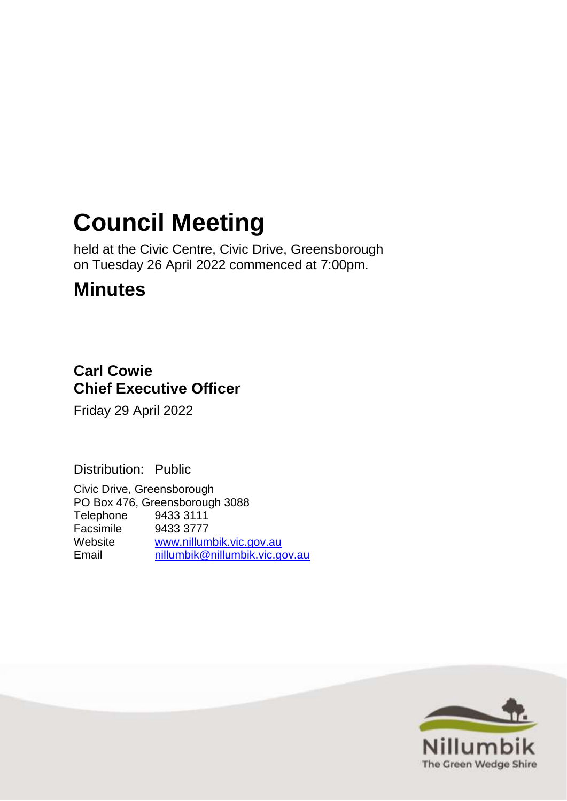# **Council Meeting**

held at the Civic Centre, Civic Drive, Greensborough on Tuesday 26 April 2022 commenced at 7:00pm.

# **Minutes**

## **Carl Cowie Chief Executive Officer**

Friday 29 April 2022

Distribution: Public

Civic Drive, Greensborough PO Box 476, Greensborough 3088 Telephone 9433 3111 Facsimile 9433 3777 Website [www.nillumbik.vic.gov.au](http://www.nillumbik.vic.gov.au/) Email [nillumbik@nillumbik.vic.gov.au](mailto:nillumbik@nillumbik.vic.gov.au)

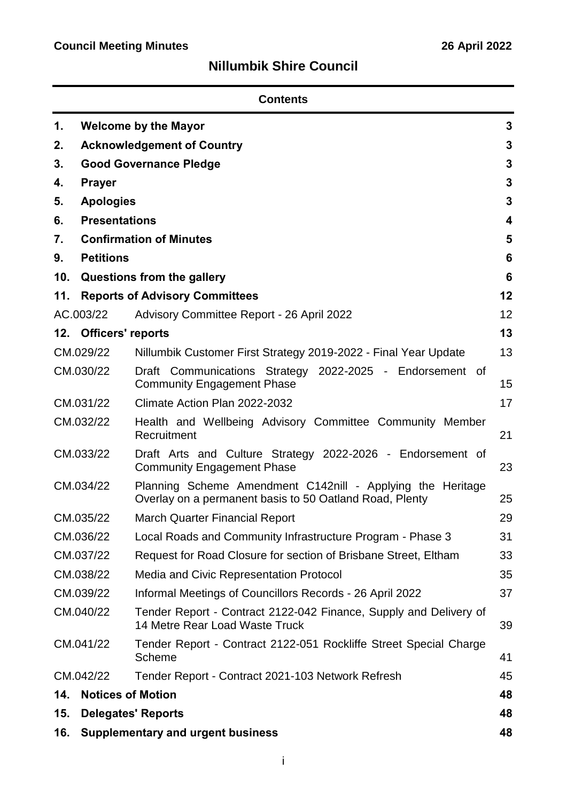# **Nillumbik Shire Council**

| <b>Contents</b> |                                        |                                                                                                                       |    |  |  |  |
|-----------------|----------------------------------------|-----------------------------------------------------------------------------------------------------------------------|----|--|--|--|
| 1.              | <b>Welcome by the Mayor</b><br>3       |                                                                                                                       |    |  |  |  |
| 2.              | 3<br><b>Acknowledgement of Country</b> |                                                                                                                       |    |  |  |  |
| 3.              |                                        | <b>Good Governance Pledge</b>                                                                                         | 3  |  |  |  |
| 4.              | <b>Prayer</b>                          |                                                                                                                       | 3  |  |  |  |
| 5.              | <b>Apologies</b>                       |                                                                                                                       | 3  |  |  |  |
| 6.              | <b>Presentations</b>                   |                                                                                                                       | 4  |  |  |  |
| 7.              |                                        | <b>Confirmation of Minutes</b>                                                                                        | 5  |  |  |  |
| 9.              | <b>Petitions</b>                       |                                                                                                                       | 6  |  |  |  |
| 10.             |                                        | Questions from the gallery                                                                                            | 6  |  |  |  |
| 11.             |                                        | <b>Reports of Advisory Committees</b>                                                                                 | 12 |  |  |  |
|                 | AC.003/22                              | Advisory Committee Report - 26 April 2022                                                                             | 12 |  |  |  |
|                 | 12. Officers' reports                  |                                                                                                                       | 13 |  |  |  |
|                 | CM.029/22                              | Nillumbik Customer First Strategy 2019-2022 - Final Year Update                                                       | 13 |  |  |  |
|                 | CM.030/22                              | Draft Communications Strategy 2022-2025 - Endorsement of<br><b>Community Engagement Phase</b>                         |    |  |  |  |
|                 | CM.031/22                              | Climate Action Plan 2022-2032                                                                                         |    |  |  |  |
| CM.032/22       |                                        | Health and Wellbeing Advisory Committee Community Member<br>Recruitment                                               |    |  |  |  |
| CM.033/22       |                                        | Draft Arts and Culture Strategy 2022-2026 - Endorsement of<br><b>Community Engagement Phase</b>                       |    |  |  |  |
| CM.034/22       |                                        | Planning Scheme Amendment C142nill - Applying the Heritage<br>Overlay on a permanent basis to 50 Oatland Road, Plenty |    |  |  |  |
| CM.035/22       |                                        | March Quarter Financial Report                                                                                        |    |  |  |  |
|                 | CM.036/22                              | Local Roads and Community Infrastructure Program - Phase 3                                                            | 31 |  |  |  |
|                 | CM.037/22                              | Request for Road Closure for section of Brisbane Street, Eltham                                                       |    |  |  |  |
|                 | CM.038/22                              | Media and Civic Representation Protocol                                                                               |    |  |  |  |
|                 | CM.039/22                              | Informal Meetings of Councillors Records - 26 April 2022                                                              |    |  |  |  |
| CM.040/22       |                                        | Tender Report - Contract 2122-042 Finance, Supply and Delivery of<br>14 Metre Rear Load Waste Truck                   |    |  |  |  |
| CM.041/22       |                                        | Tender Report - Contract 2122-051 Rockliffe Street Special Charge<br>Scheme                                           |    |  |  |  |
|                 | CM.042/22                              | Tender Report - Contract 2021-103 Network Refresh                                                                     | 45 |  |  |  |
| 14.             | <b>Notices of Motion</b>               |                                                                                                                       | 48 |  |  |  |
| 15.             | <b>Delegates' Reports</b><br>48        |                                                                                                                       |    |  |  |  |
| 16.             |                                        | <b>Supplementary and urgent business</b>                                                                              | 48 |  |  |  |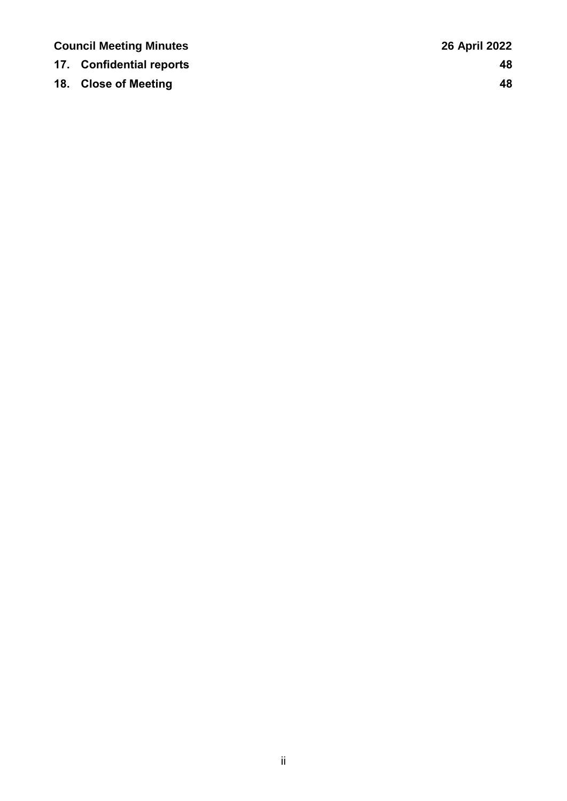| <b>Council Meeting Minutes</b> |                          | <b>26 April 2022</b> |
|--------------------------------|--------------------------|----------------------|
|                                | 17. Confidential reports | 48                   |
|                                | 18. Close of Meeting     | 48                   |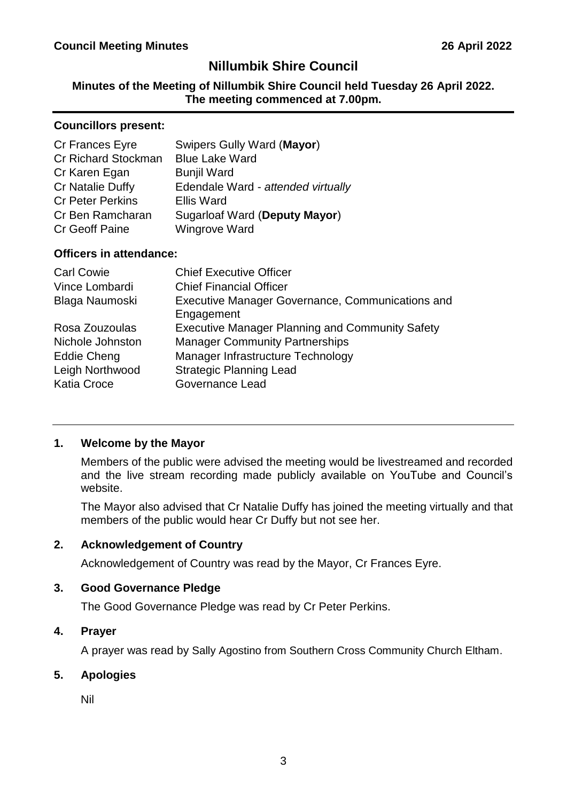### **Nillumbik Shire Council**

### **Minutes of the Meeting of Nillumbik Shire Council held Tuesday 26 April 2022. The meeting commenced at 7.00pm.**

#### **Councillors present:**

| Cr Frances Eyre            | Swipers Gully Ward (Mayor)         |
|----------------------------|------------------------------------|
| <b>Cr Richard Stockman</b> | <b>Blue Lake Ward</b>              |
| Cr Karen Egan              | <b>Bunjil Ward</b>                 |
| Cr Natalie Duffy           | Edendale Ward - attended virtually |
| <b>Cr Peter Perkins</b>    | <b>Ellis Ward</b>                  |
| Cr Ben Ramcharan           | Sugarloaf Ward (Deputy Mayor)      |
| <b>Cr Geoff Paine</b>      | <b>Wingrove Ward</b>               |
|                            |                                    |

### **Officers in attendance:**

| <b>Carl Cowie</b>  | <b>Chief Executive Officer</b>                                 |
|--------------------|----------------------------------------------------------------|
| Vince Lombardi     | <b>Chief Financial Officer</b>                                 |
| Blaga Naumoski     | Executive Manager Governance, Communications and<br>Engagement |
| Rosa Zouzoulas     | <b>Executive Manager Planning and Community Safety</b>         |
| Nichole Johnston   | <b>Manager Community Partnerships</b>                          |
| Eddie Cheng        | Manager Infrastructure Technology                              |
| Leigh Northwood    | <b>Strategic Planning Lead</b>                                 |
| <b>Katia Croce</b> | <b>Governance Lead</b>                                         |

### <span id="page-3-0"></span>**1. Welcome by the Mayor**

Members of the public were advised the meeting would be livestreamed and recorded and the live stream recording made publicly available on YouTube and Council's website.

The Mayor also advised that Cr Natalie Duffy has joined the meeting virtually and that members of the public would hear Cr Duffy but not see her.

### <span id="page-3-1"></span>**2. Acknowledgement of Country**

Acknowledgement of Country was read by the Mayor, Cr Frances Eyre.

### <span id="page-3-2"></span>**3. Good Governance Pledge**

The Good Governance Pledge was read by Cr Peter Perkins.

### <span id="page-3-3"></span>**4. Prayer**

A prayer was read by Sally Agostino from Southern Cross Community Church Eltham.

### <span id="page-3-4"></span>**5. Apologies**

Nil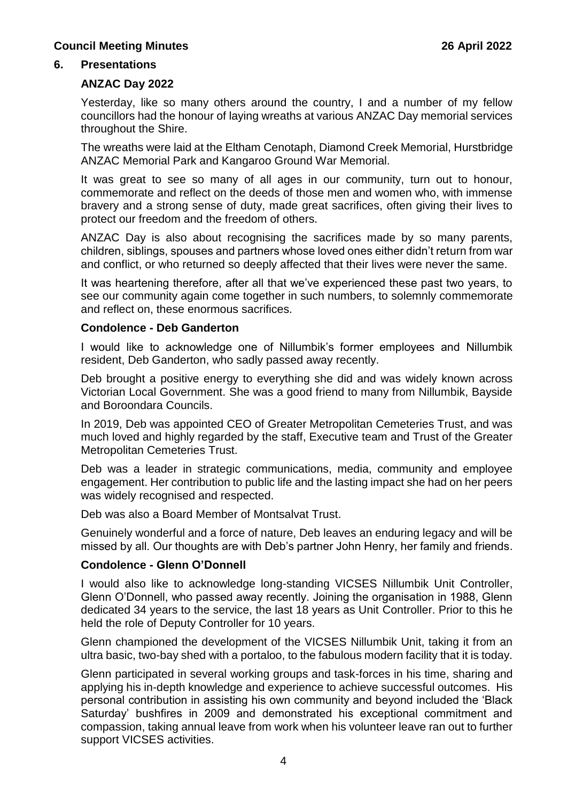#### <span id="page-4-0"></span>**6. Presentations**

#### **ANZAC Day 2022**

Yesterday, like so many others around the country, I and a number of my fellow councillors had the honour of laying wreaths at various ANZAC Day memorial services throughout the Shire.

The wreaths were laid at the Eltham Cenotaph, Diamond Creek Memorial, Hurstbridge ANZAC Memorial Park and Kangaroo Ground War Memorial.

It was great to see so many of all ages in our community, turn out to honour, commemorate and reflect on the deeds of those men and women who, with immense bravery and a strong sense of duty, made great sacrifices, often giving their lives to protect our freedom and the freedom of others.

ANZAC Day is also about recognising the sacrifices made by so many parents, children, siblings, spouses and partners whose loved ones either didn't return from war and conflict, or who returned so deeply affected that their lives were never the same.

It was heartening therefore, after all that we've experienced these past two years, to see our community again come together in such numbers, to solemnly commemorate and reflect on, these enormous sacrifices.

#### **Condolence - Deb Ganderton**

I would like to acknowledge one of Nillumbik's former employees and Nillumbik resident, Deb Ganderton, who sadly passed away recently.

Deb brought a positive energy to everything she did and was widely known across Victorian Local Government. She was a good friend to many from Nillumbik, Bayside and Boroondara Councils.

In 2019, Deb was appointed CEO of Greater Metropolitan Cemeteries Trust, and was much loved and highly regarded by the staff, Executive team and Trust of the Greater Metropolitan Cemeteries Trust.

Deb was a leader in strategic communications, media, community and employee engagement. Her contribution to public life and the lasting impact she had on her peers was widely recognised and respected.

Deb was also a Board Member of Montsalvat Trust.

Genuinely wonderful and a force of nature, Deb leaves an enduring legacy and will be missed by all. Our thoughts are with Deb's partner John Henry, her family and friends.

### **Condolence - Glenn O'Donnell**

I would also like to acknowledge long-standing VICSES Nillumbik Unit Controller, Glenn O'Donnell, who passed away recently. Joining the organisation in 1988, Glenn dedicated 34 years to the service, the last 18 years as Unit Controller. Prior to this he held the role of Deputy Controller for 10 years.

Glenn championed the development of the VICSES Nillumbik Unit, taking it from an ultra basic, two-bay shed with a portaloo, to the fabulous modern facility that it is today.

Glenn participated in several working groups and task-forces in his time, sharing and applying his in-depth knowledge and experience to achieve successful outcomes. His personal contribution in assisting his own community and beyond included the 'Black Saturday' bushfires in 2009 and demonstrated his exceptional commitment and compassion, taking annual leave from work when his volunteer leave ran out to further support VICSES activities.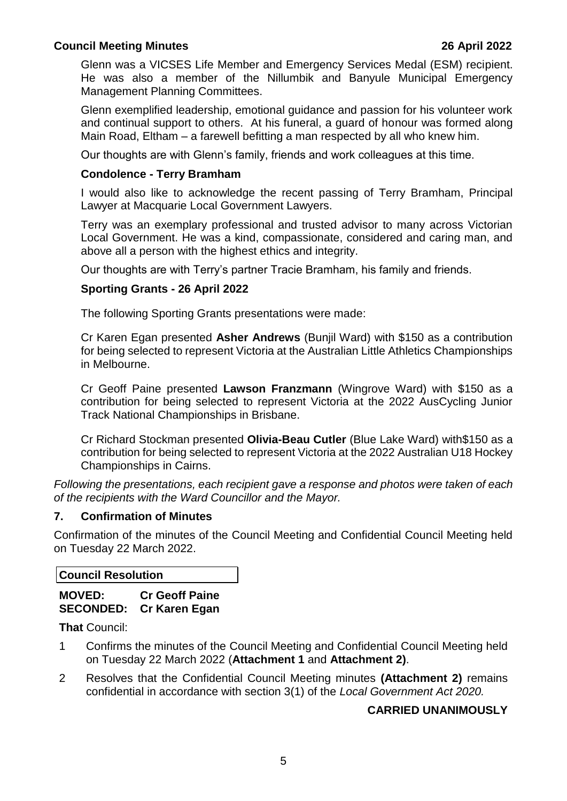Glenn was a VICSES Life Member and Emergency Services Medal (ESM) recipient. He was also a member of the Nillumbik and Banyule Municipal Emergency Management Planning Committees.

Glenn exemplified leadership, emotional guidance and passion for his volunteer work and continual support to others. At his funeral, a guard of honour was formed along Main Road, Eltham – a farewell befitting a man respected by all who knew him.

Our thoughts are with Glenn's family, friends and work colleagues at this time.

#### **Condolence - Terry Bramham**

I would also like to acknowledge the recent passing of Terry Bramham, Principal Lawyer at Macquarie Local Government Lawyers.

Terry was an exemplary professional and trusted advisor to many across Victorian Local Government. He was a kind, compassionate, considered and caring man, and above all a person with the highest ethics and integrity.

Our thoughts are with Terry's partner Tracie Bramham, his family and friends.

### **Sporting Grants - 26 April 2022**

The following Sporting Grants presentations were made:

Cr Karen Egan presented **Asher Andrews** (Bunjil Ward) with \$150 as a contribution for being selected to represent Victoria at the Australian Little Athletics Championships in Melbourne.

Cr Geoff Paine presented **Lawson Franzmann** (Wingrove Ward) with \$150 as a contribution for being selected to represent Victoria at the 2022 AusCycling Junior Track National Championships in Brisbane.

Cr Richard Stockman presented **Olivia-Beau Cutler** (Blue Lake Ward) with\$150 as a contribution for being selected to represent Victoria at the 2022 Australian U18 Hockey Championships in Cairns.

*Following the presentations, each recipient gave a response and photos were taken of each of the recipients with the Ward Councillor and the Mayor.* 

#### <span id="page-5-0"></span>**7. Confirmation of Minutes**

Confirmation of the minutes of the Council Meeting and Confidential Council Meeting held on Tuesday 22 March 2022.

**Council Resolution**

**MOVED: Cr Geoff Paine SECONDED: Cr Karen Egan**

**That** Council:

- 1 Confirms the minutes of the Council Meeting and Confidential Council Meeting held on Tuesday 22 March 2022 (**Attachment 1** and **Attachment 2)**.
- 2 Resolves that the Confidential Council Meeting minutes **(Attachment 2)** remains confidential in accordance with section 3(1) of the *Local Government Act 2020.*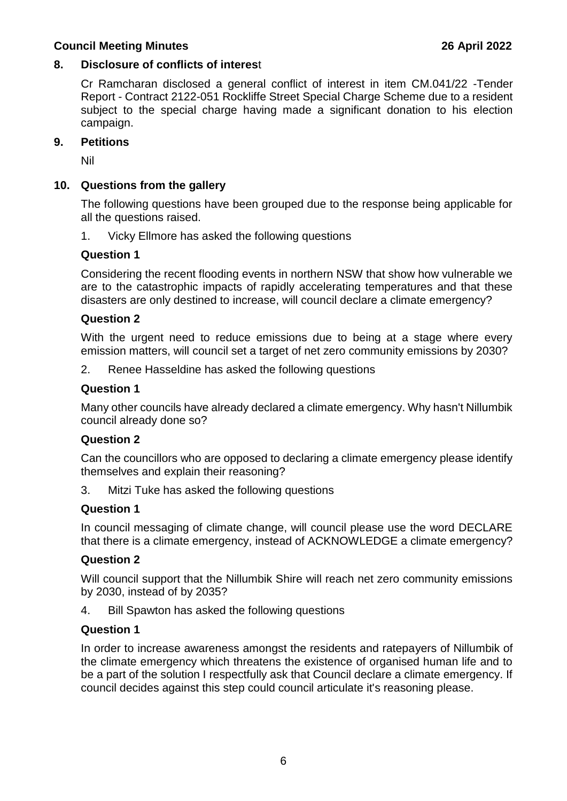#### **8. Disclosure of conflicts of interes**t

Cr Ramcharan disclosed a general conflict of interest in item CM.041/22 -Tender Report - Contract 2122-051 Rockliffe Street Special Charge Scheme due to a resident subject to the special charge having made a significant donation to his election campaign.

#### <span id="page-6-0"></span>**9. Petitions**

Nil

### <span id="page-6-1"></span>**10. Questions from the gallery**

The following questions have been grouped due to the response being applicable for all the questions raised.

1. Vicky Ellmore has asked the following questions

#### **Question 1**

Considering the recent flooding events in northern NSW that show how vulnerable we are to the catastrophic impacts of rapidly accelerating temperatures and that these disasters are only destined to increase, will council declare a climate emergency?

#### **Question 2**

With the urgent need to reduce emissions due to being at a stage where every emission matters, will council set a target of net zero community emissions by 2030?

2. Renee Hasseldine has asked the following questions

#### **Question 1**

Many other councils have already declared a climate emergency. Why hasn't Nillumbik council already done so?

### **Question 2**

Can the councillors who are opposed to declaring a climate emergency please identify themselves and explain their reasoning?

3. Mitzi Tuke has asked the following questions

### **Question 1**

In council messaging of climate change, will council please use the word DECLARE that there is a climate emergency, instead of ACKNOWLEDGE a climate emergency?

### **Question 2**

Will council support that the Nillumbik Shire will reach net zero community emissions by 2030, instead of by 2035?

4. Bill Spawton has asked the following questions

#### **Question 1**

In order to increase awareness amongst the residents and ratepayers of Nillumbik of the climate emergency which threatens the existence of organised human life and to be a part of the solution I respectfully ask that Council declare a climate emergency. If council decides against this step could council articulate it's reasoning please.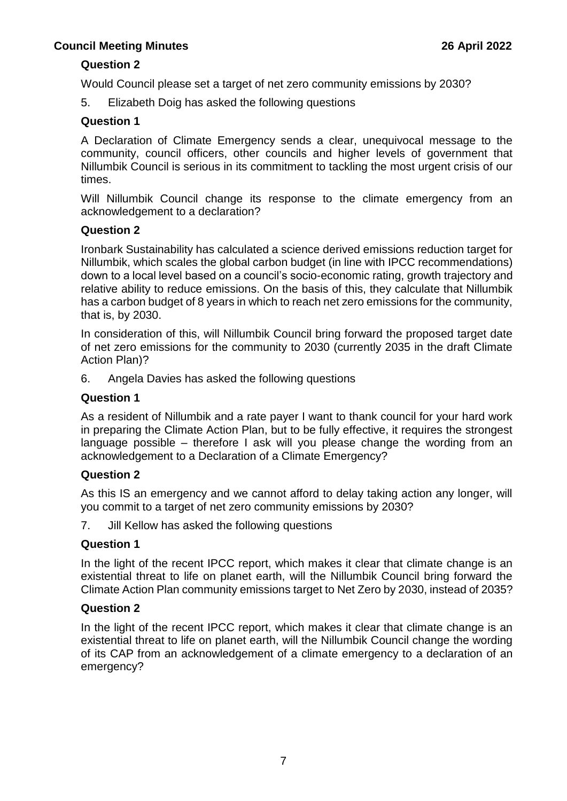### **Question 2**

Would Council please set a target of net zero community emissions by 2030?

5. Elizabeth Doig has asked the following questions

### **Question 1**

A Declaration of Climate Emergency sends a clear, unequivocal message to the community, council officers, other councils and higher levels of government that Nillumbik Council is serious in its commitment to tackling the most urgent crisis of our times.

Will Nillumbik Council change its response to the climate emergency from an acknowledgement to a declaration?

### **Question 2**

Ironbark Sustainability has calculated a science derived emissions reduction target for Nillumbik, which scales the global carbon budget (in line with IPCC recommendations) down to a local level based on a council's socio-economic rating, growth trajectory and relative ability to reduce emissions. On the basis of this, they calculate that Nillumbik has a carbon budget of 8 years in which to reach net zero emissions for the community, that is, by 2030.

In consideration of this, will Nillumbik Council bring forward the proposed target date of net zero emissions for the community to 2030 (currently 2035 in the draft Climate Action Plan)?

6. Angela Davies has asked the following questions

#### **Question 1**

As a resident of Nillumbik and a rate payer I want to thank council for your hard work in preparing the Climate Action Plan, but to be fully effective, it requires the strongest language possible – therefore I ask will you please change the wording from an acknowledgement to a Declaration of a Climate Emergency?

### **Question 2**

As this IS an emergency and we cannot afford to delay taking action any longer, will you commit to a target of net zero community emissions by 2030?

7. Jill Kellow has asked the following questions

### **Question 1**

In the light of the recent IPCC report, which makes it clear that climate change is an existential threat to life on planet earth, will the Nillumbik Council bring forward the Climate Action Plan community emissions target to Net Zero by 2030, instead of 2035?

### **Question 2**

In the light of the recent IPCC report, which makes it clear that climate change is an existential threat to life on planet earth, will the Nillumbik Council change the wording of its CAP from an acknowledgement of a climate emergency to a declaration of an emergency?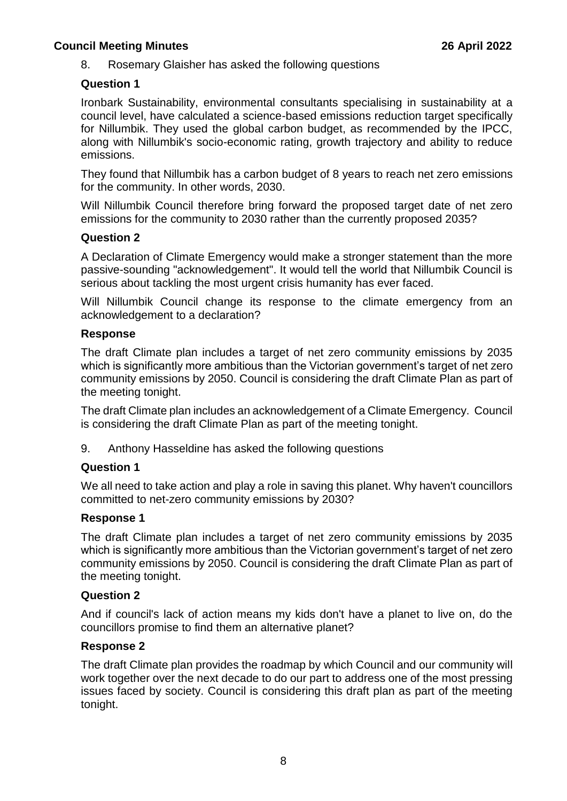8. Rosemary Glaisher has asked the following questions

### **Question 1**

Ironbark Sustainability, environmental consultants specialising in sustainability at a council level, have calculated a science-based emissions reduction target specifically for Nillumbik. They used the global carbon budget, as recommended by the IPCC, along with Nillumbik's socio-economic rating, growth trajectory and ability to reduce emissions.

They found that Nillumbik has a carbon budget of 8 years to reach net zero emissions for the community. In other words, 2030.

Will Nillumbik Council therefore bring forward the proposed target date of net zero emissions for the community to 2030 rather than the currently proposed 2035?

### **Question 2**

A Declaration of Climate Emergency would make a stronger statement than the more passive-sounding "acknowledgement". It would tell the world that Nillumbik Council is serious about tackling the most urgent crisis humanity has ever faced.

Will Nillumbik Council change its response to the climate emergency from an acknowledgement to a declaration?

### **Response**

The draft Climate plan includes a target of net zero community emissions by 2035 which is significantly more ambitious than the Victorian government's target of net zero community emissions by 2050. Council is considering the draft Climate Plan as part of the meeting tonight.

The draft Climate plan includes an acknowledgement of a Climate Emergency. Council is considering the draft Climate Plan as part of the meeting tonight.

9. Anthony Hasseldine has asked the following questions

### **Question 1**

We all need to take action and play a role in saving this planet. Why haven't councillors committed to net-zero community emissions by 2030?

### **Response 1**

The draft Climate plan includes a target of net zero community emissions by 2035 which is significantly more ambitious than the Victorian government's target of net zero community emissions by 2050. Council is considering the draft Climate Plan as part of the meeting tonight.

### **Question 2**

And if council's lack of action means my kids don't have a planet to live on, do the councillors promise to find them an alternative planet?

### **Response 2**

The draft Climate plan provides the roadmap by which Council and our community will work together over the next decade to do our part to address one of the most pressing issues faced by society. Council is considering this draft plan as part of the meeting tonight.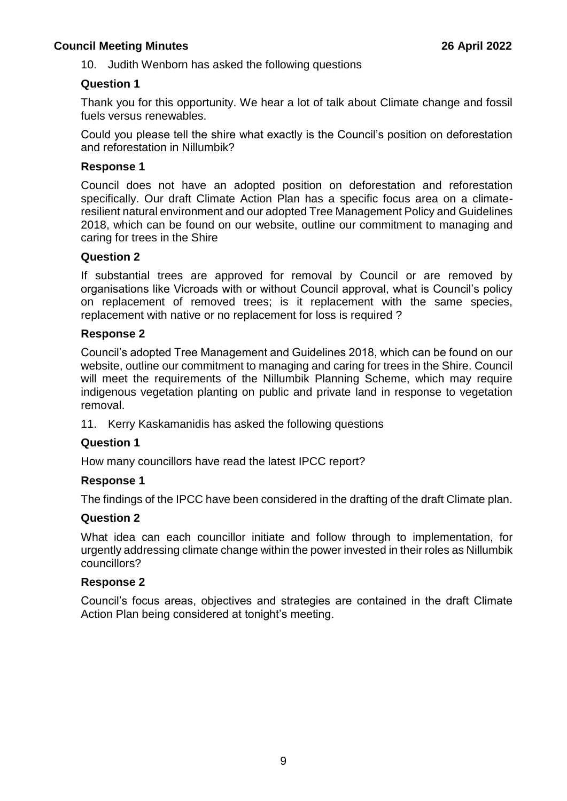10. Judith Wenborn has asked the following questions

### **Question 1**

Thank you for this opportunity. We hear a lot of talk about Climate change and fossil fuels versus renewables.

Could you please tell the shire what exactly is the Council's position on deforestation and reforestation in Nillumbik?

#### **Response 1**

Council does not have an adopted position on deforestation and reforestation specifically. Our draft Climate Action Plan has a specific focus area on a climateresilient natural environment and our adopted Tree Management Policy and Guidelines 2018, which can be found on our website, outline our commitment to managing and caring for trees in the Shire

#### **Question 2**

If substantial trees are approved for removal by Council or are removed by organisations like Vicroads with or without Council approval, what is Council's policy on replacement of removed trees; is it replacement with the same species, replacement with native or no replacement for loss is required ?

#### **Response 2**

Council's adopted Tree Management and Guidelines 2018, which can be found on our website, outline our commitment to managing and caring for trees in the Shire. Council will meet the requirements of the Nillumbik Planning Scheme, which may require indigenous vegetation planting on public and private land in response to vegetation removal.

11. Kerry Kaskamanidis has asked the following questions

### **Question 1**

How many councillors have read the latest IPCC report?

#### **Response 1**

The findings of the IPCC have been considered in the drafting of the draft Climate plan.

#### **Question 2**

What idea can each councillor initiate and follow through to implementation, for urgently addressing climate change within the power invested in their roles as Nillumbik councillors?

#### **Response 2**

Council's focus areas, objectives and strategies are contained in the draft Climate Action Plan being considered at tonight's meeting.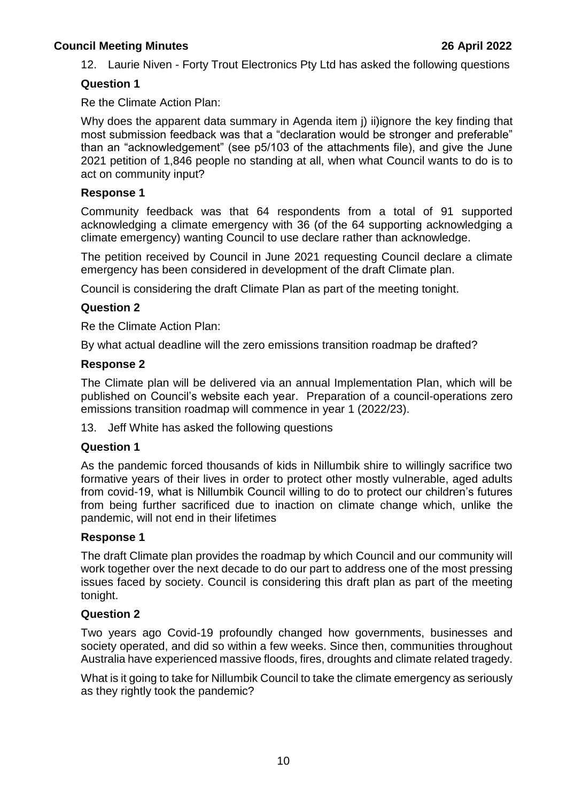12. Laurie Niven - Forty Trout Electronics Pty Ltd has asked the following questions

#### **Question 1**

Re the Climate Action Plan:

Why does the apparent data summary in Agenda item i) ii)ignore the key finding that most submission feedback was that a "declaration would be stronger and preferable" than an "acknowledgement" (see p5/103 of the attachments file), and give the June 2021 petition of 1,846 people no standing at all, when what Council wants to do is to act on community input?

#### **Response 1**

Community feedback was that 64 respondents from a total of 91 supported acknowledging a climate emergency with 36 (of the 64 supporting acknowledging a climate emergency) wanting Council to use declare rather than acknowledge.

The petition received by Council in June 2021 requesting Council declare a climate emergency has been considered in development of the draft Climate plan.

Council is considering the draft Climate Plan as part of the meeting tonight.

### **Question 2**

Re the Climate Action Plan:

By what actual deadline will the zero emissions transition roadmap be drafted?

#### **Response 2**

The Climate plan will be delivered via an annual Implementation Plan, which will be published on Council's website each year. Preparation of a council-operations zero emissions transition roadmap will commence in year 1 (2022/23).

13. Jeff White has asked the following questions

### **Question 1**

As the pandemic forced thousands of kids in Nillumbik shire to willingly sacrifice two formative years of their lives in order to protect other mostly vulnerable, aged adults from covid-19, what is Nillumbik Council willing to do to protect our children's futures from being further sacrificed due to inaction on climate change which, unlike the pandemic, will not end in their lifetimes

### **Response 1**

The draft Climate plan provides the roadmap by which Council and our community will work together over the next decade to do our part to address one of the most pressing issues faced by society. Council is considering this draft plan as part of the meeting tonight.

### **Question 2**

Two years ago Covid-19 profoundly changed how governments, businesses and society operated, and did so within a few weeks. Since then, communities throughout Australia have experienced massive floods, fires, droughts and climate related tragedy.

What is it going to take for Nillumbik Council to take the climate emergency as seriously as they rightly took the pandemic?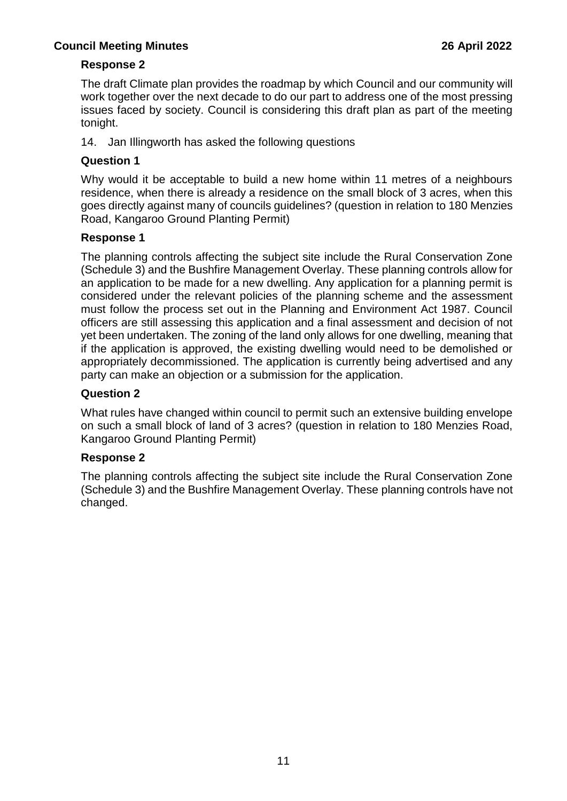### **Response 2**

The draft Climate plan provides the roadmap by which Council and our community will work together over the next decade to do our part to address one of the most pressing issues faced by society. Council is considering this draft plan as part of the meeting tonight.

14. Jan Illingworth has asked the following questions

### **Question 1**

Why would it be acceptable to build a new home within 11 metres of a neighbours residence, when there is already a residence on the small block of 3 acres, when this goes directly against many of councils guidelines? (question in relation to 180 Menzies Road, Kangaroo Ground Planting Permit)

### **Response 1**

The planning controls affecting the subject site include the Rural Conservation Zone (Schedule 3) and the Bushfire Management Overlay. These planning controls allow for an application to be made for a new dwelling. Any application for a planning permit is considered under the relevant policies of the planning scheme and the assessment must follow the process set out in the Planning and Environment Act 1987. Council officers are still assessing this application and a final assessment and decision of not yet been undertaken. The zoning of the land only allows for one dwelling, meaning that if the application is approved, the existing dwelling would need to be demolished or appropriately decommissioned. The application is currently being advertised and any party can make an objection or a submission for the application.

### **Question 2**

What rules have changed within council to permit such an extensive building envelope on such a small block of land of 3 acres? (question in relation to 180 Menzies Road, Kangaroo Ground Planting Permit)

### **Response 2**

The planning controls affecting the subject site include the Rural Conservation Zone (Schedule 3) and the Bushfire Management Overlay. These planning controls have not changed.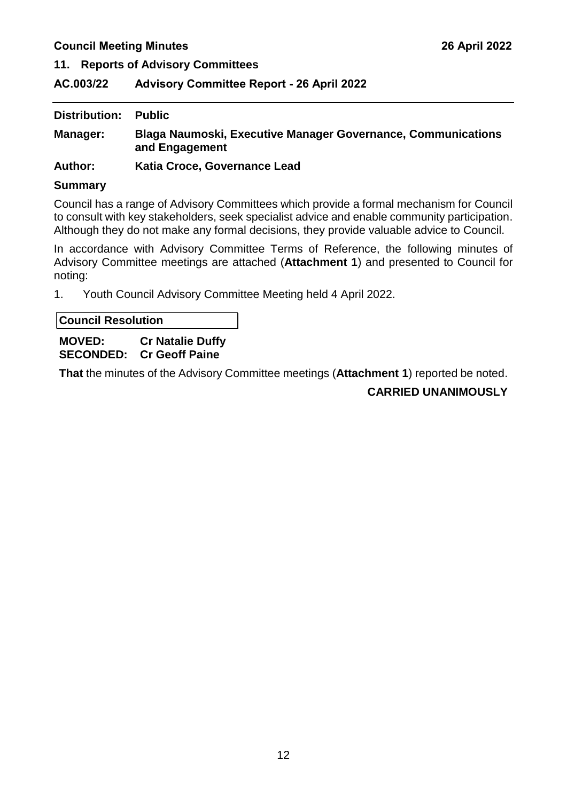<span id="page-12-0"></span>**11. Reports of Advisory Committees**

<span id="page-12-1"></span>**AC.003/22 Advisory Committee Report - 26 April 2022**

| Distribution: | <b>Public</b>                                                                         |
|---------------|---------------------------------------------------------------------------------------|
| Manager:      | <b>Blaga Naumoski, Executive Manager Governance, Communications</b><br>and Engagement |
| A4h           | Kotio Cross Covernance Load                                                           |

**Author: Katia Croce, Governance Lead** 

#### **Summary**

Council has a range of Advisory Committees which provide a formal mechanism for Council to consult with key stakeholders, seek specialist advice and enable community participation. Although they do not make any formal decisions, they provide valuable advice to Council.

In accordance with Advisory Committee Terms of Reference, the following minutes of Advisory Committee meetings are attached (**Attachment 1**) and presented to Council for noting:

1. Youth Council Advisory Committee Meeting held 4 April 2022.

**Council Resolution**

### **MOVED: Cr Natalie Duffy SECONDED: Cr Geoff Paine**

**That** the minutes of the Advisory Committee meetings (**Attachment 1**) reported be noted.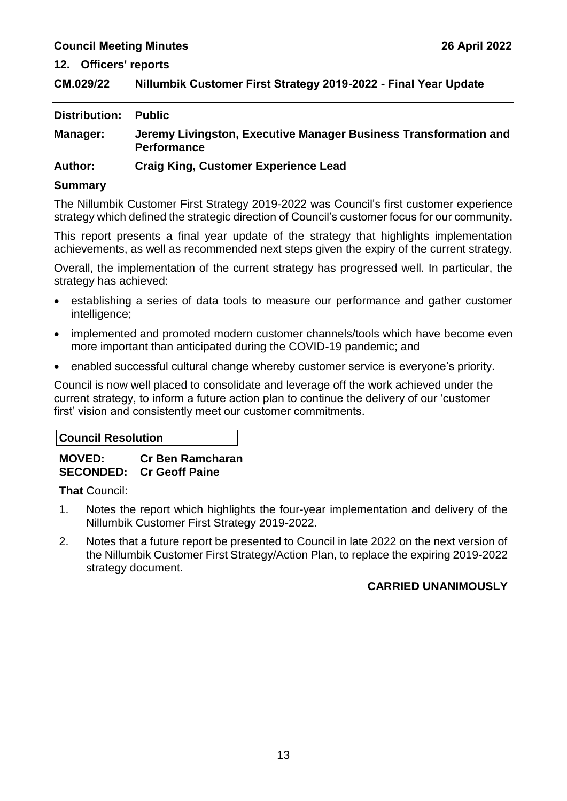<span id="page-13-0"></span>**12. Officers' reports**

<span id="page-13-1"></span>

| CM.029/22 | Nillumbik Customer First Strategy 2019-2022 - Final Year Update |
|-----------|-----------------------------------------------------------------|
|-----------|-----------------------------------------------------------------|

| <b>Distribution:</b> | <b>Public</b>                                                                          |
|----------------------|----------------------------------------------------------------------------------------|
| <b>Manager:</b>      | Jeremy Livingston, Executive Manager Business Transformation and<br><b>Performance</b> |
| <b>Author:</b>       | <b>Craig King, Customer Experience Lead</b>                                            |

#### **Summary**

The Nillumbik Customer First Strategy 2019-2022 was Council's first customer experience strategy which defined the strategic direction of Council's customer focus for our community.

This report presents a final year update of the strategy that highlights implementation achievements, as well as recommended next steps given the expiry of the current strategy.

Overall, the implementation of the current strategy has progressed well. In particular, the strategy has achieved:

- establishing a series of data tools to measure our performance and gather customer intelligence;
- implemented and promoted modern customer channels/tools which have become even more important than anticipated during the COVID-19 pandemic; and
- enabled successful cultural change whereby customer service is everyone's priority.

Council is now well placed to consolidate and leverage off the work achieved under the current strategy, to inform a future action plan to continue the delivery of our 'customer first' vision and consistently meet our customer commitments.

#### **Council Resolution**

### **MOVED: Cr Ben Ramcharan SECONDED: Cr Geoff Paine**

**That** Council:

- 1. Notes the report which highlights the four-year implementation and delivery of the Nillumbik Customer First Strategy 2019-2022.
- 2. Notes that a future report be presented to Council in late 2022 on the next version of the Nillumbik Customer First Strategy/Action Plan, to replace the expiring 2019-2022 strategy document.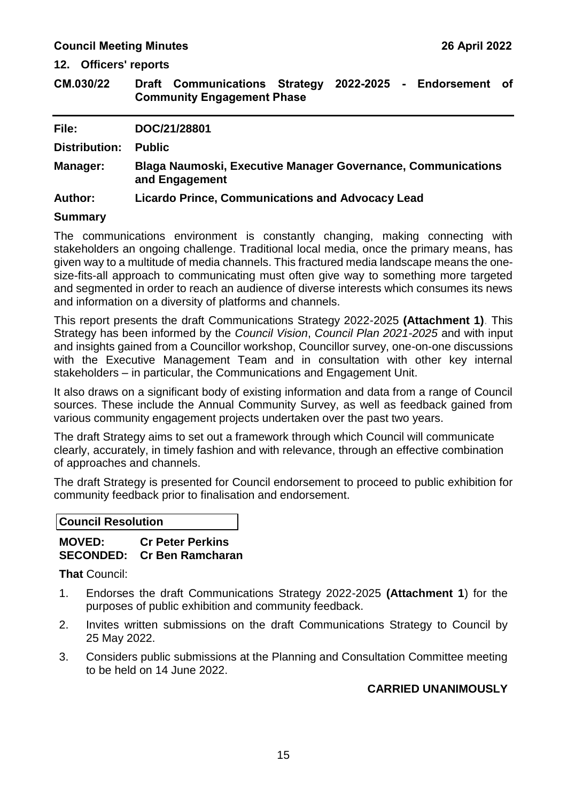**12. Officers' reports**

<span id="page-15-0"></span>**CM.030/22 Draft Communications Strategy 2022-2025 - Endorsement of Community Engagement Phase**

| File:          | DOC/21/28801                                                                          |
|----------------|---------------------------------------------------------------------------------------|
| Distribution:  | <b>Public</b>                                                                         |
| Manager:       | <b>Blaga Naumoski, Executive Manager Governance, Communications</b><br>and Engagement |
| <b>Author:</b> | <b>Licardo Prince, Communications and Advocacy Lead</b>                               |
| $\blacksquare$ |                                                                                       |

#### **Summary**

The communications environment is constantly changing, making connecting with stakeholders an ongoing challenge. Traditional local media, once the primary means, has given way to a multitude of media channels. This fractured media landscape means the onesize-fits-all approach to communicating must often give way to something more targeted and segmented in order to reach an audience of diverse interests which consumes its news and information on a diversity of platforms and channels.

This report presents the draft Communications Strategy 2022-2025 **(Attachment 1)**. This Strategy has been informed by the *Council Vision*, *Council Plan 2021-2025* and with input and insights gained from a Councillor workshop, Councillor survey, one-on-one discussions with the Executive Management Team and in consultation with other key internal stakeholders – in particular, the Communications and Engagement Unit.

It also draws on a significant body of existing information and data from a range of Council sources. These include the Annual Community Survey, as well as feedback gained from various community engagement projects undertaken over the past two years.

The draft Strategy aims to set out a framework through which Council will communicate clearly, accurately, in timely fashion and with relevance, through an effective combination of approaches and channels.

The draft Strategy is presented for Council endorsement to proceed to public exhibition for community feedback prior to finalisation and endorsement.

| <b>Council Resolution</b> |  |
|---------------------------|--|
|---------------------------|--|

### **MOVED: Cr Peter Perkins SECONDED: Cr Ben Ramcharan**

**That** Council:

- 1. Endorses the draft Communications Strategy 2022-2025 **(Attachment 1**) for the purposes of public exhibition and community feedback.
- 2. Invites written submissions on the draft Communications Strategy to Council by 25 May 2022.
- 3. Considers public submissions at the Planning and Consultation Committee meeting to be held on 14 June 2022.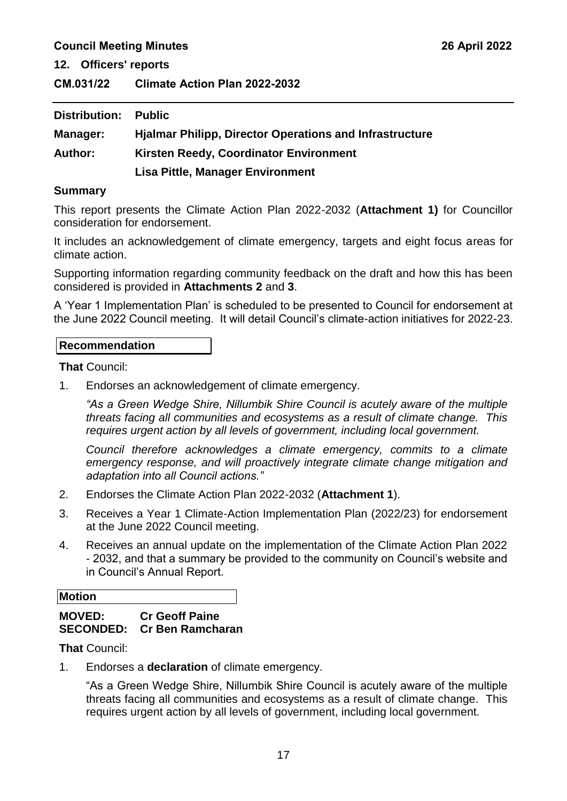**12. Officers' reports**

<span id="page-17-0"></span>**CM.031/22 Climate Action Plan 2022-2032**

| Distribution:  | <b>Public</b>                                                  |
|----------------|----------------------------------------------------------------|
| Manager:       | <b>Hjalmar Philipp, Director Operations and Infrastructure</b> |
| <b>Author:</b> | Kirsten Reedy, Coordinator Environment                         |
|                | <b>Lisa Pittle, Manager Environment</b>                        |

#### **Summary**

This report presents the Climate Action Plan 2022-2032 (**Attachment 1)** for Councillor consideration for endorsement.

It includes an acknowledgement of climate emergency, targets and eight focus areas for climate action.

Supporting information regarding community feedback on the draft and how this has been considered is provided in **Attachments 2** and **3**.

A 'Year 1 Implementation Plan' is scheduled to be presented to Council for endorsement at the June 2022 Council meeting. It will detail Council's climate-action initiatives for 2022-23.

#### **Recommendation**

**That** Council:

1. Endorses an acknowledgement of climate emergency.

*"As a Green Wedge Shire, Nillumbik Shire Council is acutely aware of the multiple threats facing all communities and ecosystems as a result of climate change. This requires urgent action by all levels of government, including local government.*

*Council therefore acknowledges a climate emergency, commits to a climate emergency response, and will proactively integrate climate change mitigation and adaptation into all Council actions."*

- 2. Endorses the Climate Action Plan 2022-2032 (**Attachment 1**).
- 3. Receives a Year 1 Climate-Action Implementation Plan (2022/23) for endorsement at the June 2022 Council meeting.
- 4. Receives an annual update on the implementation of the Climate Action Plan 2022 - 2032, and that a summary be provided to the community on Council's website and in Council's Annual Report.

### **Motion MOVED: Cr Geoff Paine**

### **SECONDED: Cr Ben Ramcharan**

**That** Council:

1. Endorses a **declaration** of climate emergency.

"As a Green Wedge Shire, Nillumbik Shire Council is acutely aware of the multiple threats facing all communities and ecosystems as a result of climate change. This requires urgent action by all levels of government, including local government.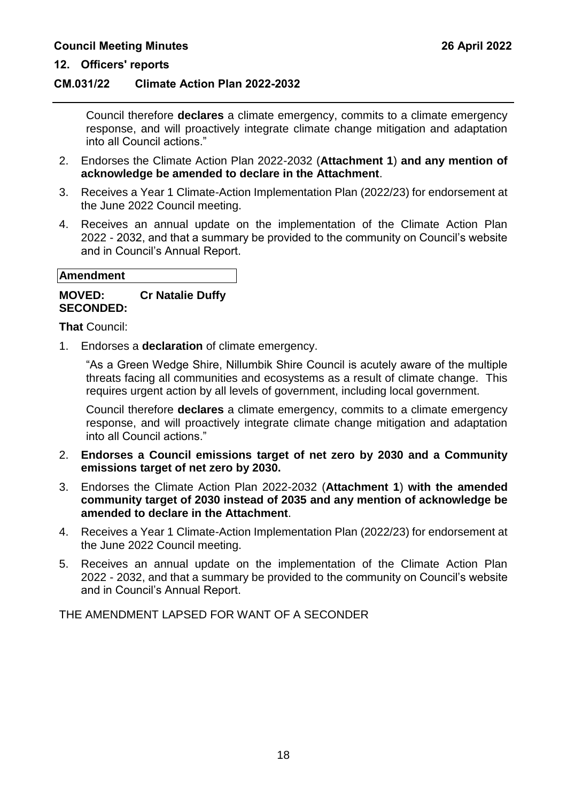#### **12. Officers' reports**

#### **CM.031/22 Climate Action Plan 2022-2032**

Council therefore **declares** a climate emergency, commits to a climate emergency response, and will proactively integrate climate change mitigation and adaptation into all Council actions."

- 2. Endorses the Climate Action Plan 2022-2032 (**Attachment 1**) **and any mention of acknowledge be amended to declare in the Attachment**.
- 3. Receives a Year 1 Climate-Action Implementation Plan (2022/23) for endorsement at the June 2022 Council meeting.
- 4. Receives an annual update on the implementation of the Climate Action Plan 2022 - 2032, and that a summary be provided to the community on Council's website and in Council's Annual Report.

#### **Amendment**

#### **MOVED: Cr Natalie Duffy SECONDED:**

**That** Council:

1. Endorses a **declaration** of climate emergency.

"As a Green Wedge Shire, Nillumbik Shire Council is acutely aware of the multiple threats facing all communities and ecosystems as a result of climate change. This requires urgent action by all levels of government, including local government.

Council therefore **declares** a climate emergency, commits to a climate emergency response, and will proactively integrate climate change mitigation and adaptation into all Council actions."

- 2. **Endorses a Council emissions target of net zero by 2030 and a Community emissions target of net zero by 2030.**
- 3. Endorses the Climate Action Plan 2022-2032 (**Attachment 1**) **with the amended community target of 2030 instead of 2035 and any mention of acknowledge be amended to declare in the Attachment**.
- 4. Receives a Year 1 Climate-Action Implementation Plan (2022/23) for endorsement at the June 2022 Council meeting.
- 5. Receives an annual update on the implementation of the Climate Action Plan 2022 - 2032, and that a summary be provided to the community on Council's website and in Council's Annual Report.

THE AMENDMENT LAPSED FOR WANT OF A SECONDER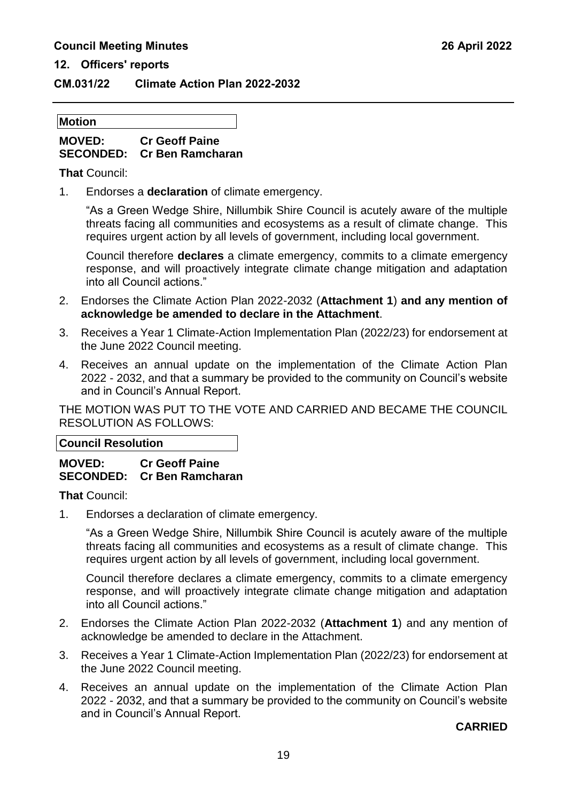### **12. Officers' reports**

### **CM.031/22 Climate Action Plan 2022-2032**

#### **Motion**

### **MOVED: Cr Geoff Paine SECONDED: Cr Ben Ramcharan**

**That** Council:

1. Endorses a **declaration** of climate emergency.

"As a Green Wedge Shire, Nillumbik Shire Council is acutely aware of the multiple threats facing all communities and ecosystems as a result of climate change. This requires urgent action by all levels of government, including local government.

Council therefore **declares** a climate emergency, commits to a climate emergency response, and will proactively integrate climate change mitigation and adaptation into all Council actions."

- 2. Endorses the Climate Action Plan 2022-2032 (**Attachment 1**) **and any mention of acknowledge be amended to declare in the Attachment**.
- 3. Receives a Year 1 Climate-Action Implementation Plan (2022/23) for endorsement at the June 2022 Council meeting.
- 4. Receives an annual update on the implementation of the Climate Action Plan 2022 - 2032, and that a summary be provided to the community on Council's website and in Council's Annual Report.

THE MOTION WAS PUT TO THE VOTE AND CARRIED AND BECAME THE COUNCIL RESOLUTION AS FOLLOWS:

**Council Resolution**

### **MOVED: Cr Geoff Paine SECONDED: Cr Ben Ramcharan**

**That** Council:

1. Endorses a declaration of climate emergency.

"As a Green Wedge Shire, Nillumbik Shire Council is acutely aware of the multiple threats facing all communities and ecosystems as a result of climate change. This requires urgent action by all levels of government, including local government.

Council therefore declares a climate emergency, commits to a climate emergency response, and will proactively integrate climate change mitigation and adaptation into all Council actions."

- 2. Endorses the Climate Action Plan 2022-2032 (**Attachment 1**) and any mention of acknowledge be amended to declare in the Attachment.
- 3. Receives a Year 1 Climate-Action Implementation Plan (2022/23) for endorsement at the June 2022 Council meeting.
- 4. Receives an annual update on the implementation of the Climate Action Plan 2022 - 2032, and that a summary be provided to the community on Council's website and in Council's Annual Report.

**CARRIED**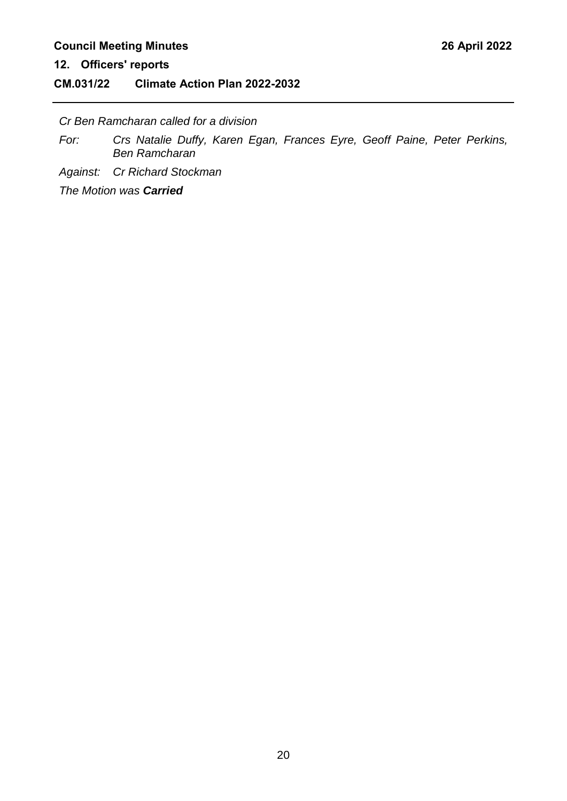**12. Officers' reports**

### **CM.031/22 Climate Action Plan 2022-2032**

*Cr Ben Ramcharan called for a division*

*For: Crs Natalie Duffy, Karen Egan, Frances Eyre, Geoff Paine, Peter Perkins, Ben Ramcharan*

*Against: Cr Richard Stockman*

*The Motion was Carried*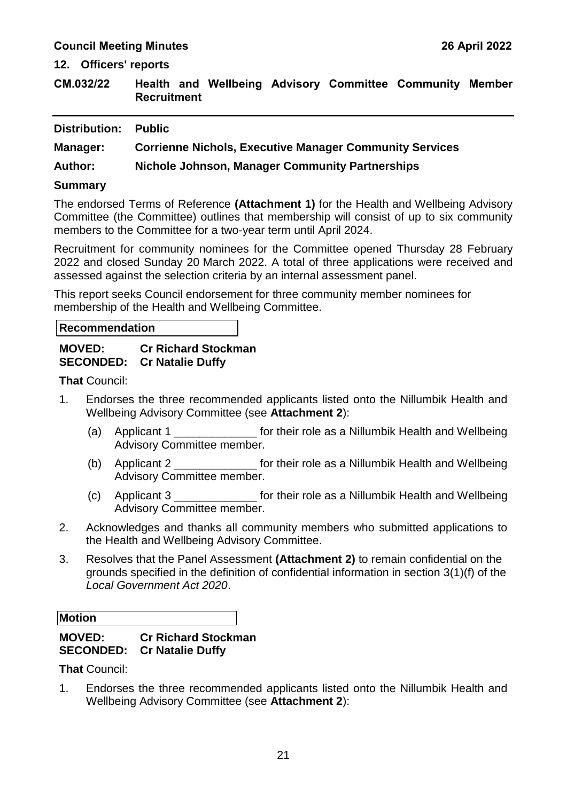**12. Officers' reports**

<span id="page-21-0"></span>

| CM.032/22 |                    |  |  | Health and Wellbeing Advisory Committee Community Member |  |
|-----------|--------------------|--|--|----------------------------------------------------------|--|
|           | <b>Recruitment</b> |  |  |                                                          |  |

| Distribution:  | <b>Public</b>                                                  |
|----------------|----------------------------------------------------------------|
| Manager:       | <b>Corrienne Nichols, Executive Manager Community Services</b> |
| <b>Author:</b> | <b>Nichole Johnson, Manager Community Partnerships</b>         |
| <b>Summary</b> |                                                                |

The endorsed Terms of Reference **(Attachment 1)** for the Health and Wellbeing Advisory Committee (the Committee) outlines that membership will consist of up to six community members to the Committee for a two-year term until April 2024.

Recruitment for community nominees for the Committee opened Thursday 28 February 2022 and closed Sunday 20 March 2022. A total of three applications were received and assessed against the selection criteria by an internal assessment panel.

This report seeks Council endorsement for three community member nominees for membership of the Health and Wellbeing Committee.

#### **Recommendation**

#### **MOVED: Cr Richard Stockman SECONDED: Cr Natalie Duffy**

**That** Council:

- 1. Endorses the three recommended applicants listed onto the Nillumbik Health and Wellbeing Advisory Committee (see **Attachment 2**):
	- (a) Applicant 1 **Fig. 1**  $\blacksquare$  for their role as a Nillumbik Health and Wellbeing Advisory Committee member.
	- (b) Applicant 2 **Example 2 b** for their role as a Nillumbik Health and Wellbeing Advisory Committee member.
	- (c) Applicant 3 \_\_\_\_\_\_\_\_\_\_\_\_\_ for their role as a Nillumbik Health and Wellbeing Advisory Committee member.
- 2. Acknowledges and thanks all community members who submitted applications to the Health and Wellbeing Advisory Committee.
- 3. Resolves that the Panel Assessment **(Attachment 2)** to remain confidential on the grounds specified in the definition of confidential information in section 3(1)(f) of the *Local Government Act 2020*.

**Motion**

### **MOVED: Cr Richard Stockman SECONDED: Cr Natalie Duffy**

**That** Council:

1. Endorses the three recommended applicants listed onto the Nillumbik Health and Wellbeing Advisory Committee (see **Attachment 2**):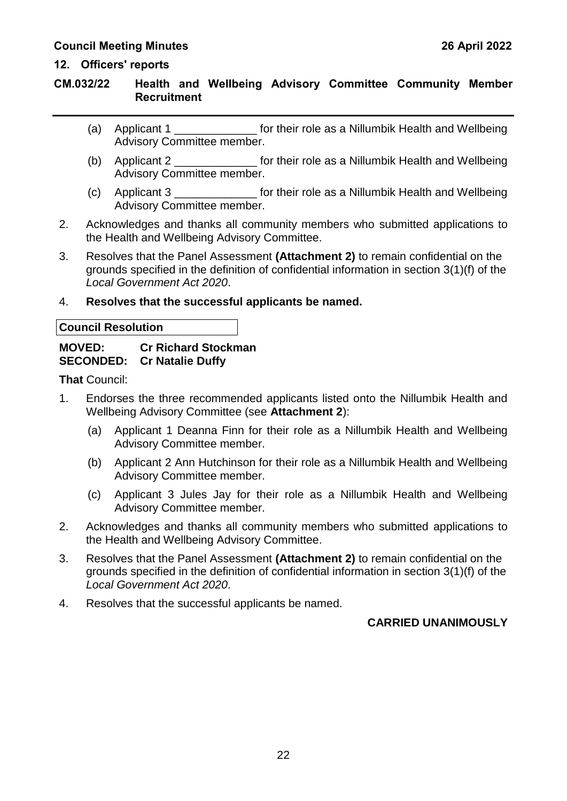#### **12. Officers' reports**

### **CM.032/22 Health and Wellbeing Advisory Committee Community Member Recruitment**

- (a) Applicant 1 \_\_\_\_\_\_\_\_\_\_\_\_\_\_\_\_ for their role as a Nillumbik Health and Wellbeing Advisory Committee member.
- (b) Applicant 2 \_\_\_\_\_\_\_\_\_\_\_\_\_ for their role as a Nillumbik Health and Wellbeing Advisory Committee member.
- (c) Applicant 3 \_\_\_\_\_\_\_\_\_\_\_\_\_ for their role as a Nillumbik Health and Wellbeing Advisory Committee member.
- 2. Acknowledges and thanks all community members who submitted applications to the Health and Wellbeing Advisory Committee.
- 3. Resolves that the Panel Assessment **(Attachment 2)** to remain confidential on the grounds specified in the definition of confidential information in section 3(1)(f) of the *Local Government Act 2020*.

#### 4. **Resolves that the successful applicants be named.**

| <b>Council Resolution</b> |
|---------------------------|
|                           |

#### **MOVED: Cr Richard Stockman SECONDED: Cr Natalie Duffy**

**That** Council:

- 1. Endorses the three recommended applicants listed onto the Nillumbik Health and Wellbeing Advisory Committee (see **Attachment 2**):
	- (a) Applicant 1 Deanna Finn for their role as a Nillumbik Health and Wellbeing Advisory Committee member.
	- (b) Applicant 2 Ann Hutchinson for their role as a Nillumbik Health and Wellbeing Advisory Committee member.
	- (c) Applicant 3 Jules Jay for their role as a Nillumbik Health and Wellbeing Advisory Committee member.
- 2. Acknowledges and thanks all community members who submitted applications to the Health and Wellbeing Advisory Committee.
- 3. Resolves that the Panel Assessment **(Attachment 2)** to remain confidential on the grounds specified in the definition of confidential information in section 3(1)(f) of the *Local Government Act 2020*.
- 4. Resolves that the successful applicants be named.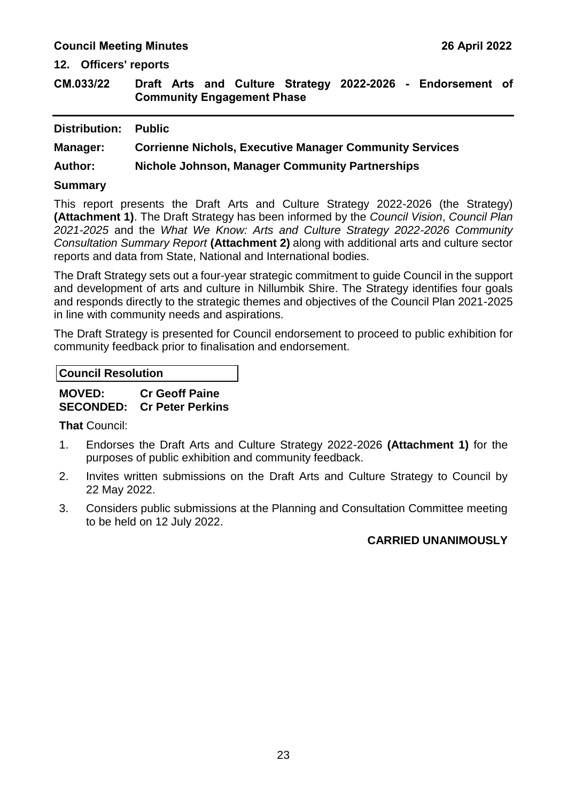#### **12. Officers' reports**

<span id="page-23-0"></span>**CM.033/22 Draft Arts and Culture Strategy 2022-2026 - Endorsement of Community Engagement Phase**

| Distribution:  | <b>Public</b>                                                  |
|----------------|----------------------------------------------------------------|
| Manager:       | <b>Corrienne Nichols, Executive Manager Community Services</b> |
| <b>Author:</b> | Nichole Johnson, Manager Community Partnerships                |
| <b>Summary</b> |                                                                |

This report presents the Draft Arts and Culture Strategy 2022-2026 (the Strategy) **(Attachment 1)**. The Draft Strategy has been informed by the *Council Vision*, *Council Plan 2021-2025* and the *What We Know: Arts and Culture Strategy 2022-2026 Community Consultation Summary Report* **(Attachment 2)** along with additional arts and culture sector reports and data from State, National and International bodies.

The Draft Strategy sets out a four-year strategic commitment to guide Council in the support and development of arts and culture in Nillumbik Shire. The Strategy identifies four goals and responds directly to the strategic themes and objectives of the Council Plan 2021-2025 in line with community needs and aspirations.

The Draft Strategy is presented for Council endorsement to proceed to public exhibition for community feedback prior to finalisation and endorsement.

### **MOVED: Cr Geoff Paine SECONDED: Cr Peter Perkins**

**That** Council:

- 1. Endorses the Draft Arts and Culture Strategy 2022-2026 **(Attachment 1)** for the purposes of public exhibition and community feedback.
- 2. Invites written submissions on the Draft Arts and Culture Strategy to Council by 22 May 2022.
- 3. Considers public submissions at the Planning and Consultation Committee meeting to be held on 12 July 2022.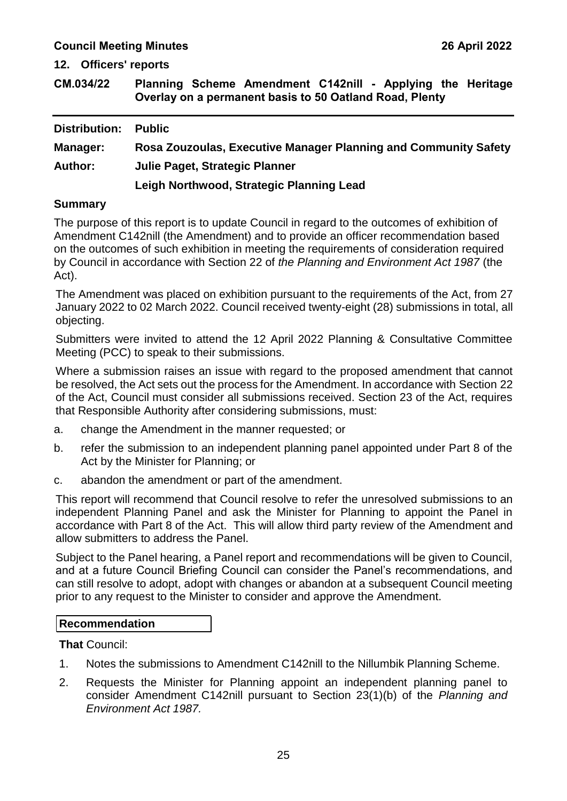**12. Officers' reports**

<span id="page-25-0"></span>

| CM.034/22 |  | Planning Scheme Amendment C142nill - Applying the Heritage |  |  |  |
|-----------|--|------------------------------------------------------------|--|--|--|
|           |  | Overlay on a permanent basis to 50 Oatland Road, Plenty    |  |  |  |

| Distribution:   | <b>Public</b>                                                   |
|-----------------|-----------------------------------------------------------------|
| <b>Manager:</b> | Rosa Zouzoulas, Executive Manager Planning and Community Safety |
| <b>Author:</b>  | Julie Paget, Strategic Planner                                  |
|                 | Leigh Northwood, Strategic Planning Lead                        |

#### **Summary**

The purpose of this report is to update Council in regard to the outcomes of exhibition of Amendment C142nill (the Amendment) and to provide an officer recommendation based on the outcomes of such exhibition in meeting the requirements of consideration required by Council in accordance with Section 22 of *the Planning and Environment Act 1987* (the Act).

The Amendment was placed on exhibition pursuant to the requirements of the Act, from 27 January 2022 to 02 March 2022. Council received twenty-eight (28) submissions in total, all objecting.

Submitters were invited to attend the 12 April 2022 Planning & Consultative Committee Meeting (PCC) to speak to their submissions.

Where a submission raises an issue with regard to the proposed amendment that cannot be resolved, the Act sets out the process for the Amendment. In accordance with Section 22 of the Act, Council must consider all submissions received. Section 23 of the Act, requires that Responsible Authority after considering submissions, must:

- a. change the Amendment in the manner requested; or
- b. refer the submission to an independent planning panel appointed under Part 8 of the Act by the Minister for Planning; or
- c. abandon the amendment or part of the amendment.

This report will recommend that Council resolve to refer the unresolved submissions to an independent Planning Panel and ask the Minister for Planning to appoint the Panel in accordance with Part 8 of the Act. This will allow third party review of the Amendment and allow submitters to address the Panel.

Subject to the Panel hearing, a Panel report and recommendations will be given to Council, and at a future Council Briefing Council can consider the Panel's recommendations, and can still resolve to adopt, adopt with changes or abandon at a subsequent Council meeting prior to any request to the Minister to consider and approve the Amendment.

### **Recommendation**

**That** Council:

- 1. Notes the submissions to Amendment C142nill to the Nillumbik Planning Scheme.
- 2. Requests the Minister for Planning appoint an independent planning panel to consider Amendment C142nill pursuant to Section 23(1)(b) of the *Planning and Environment Act 1987.*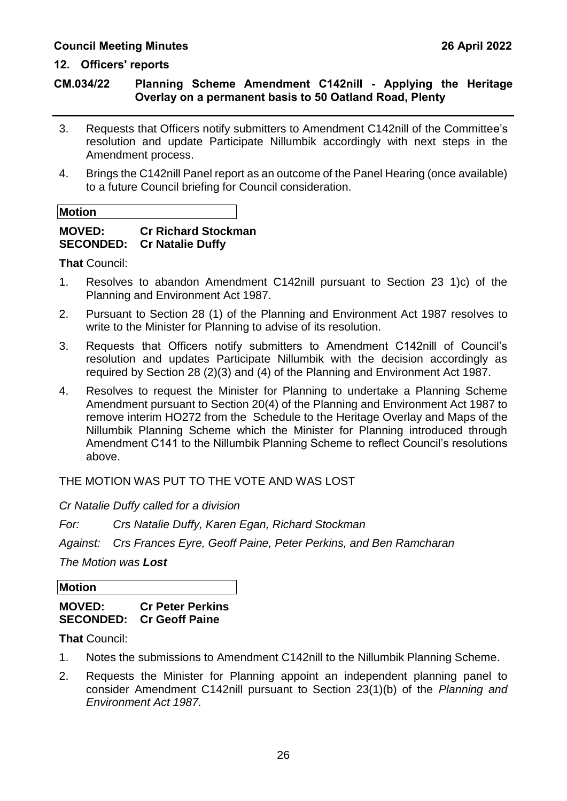### **12. Officers' reports**

### **CM.034/22 Planning Scheme Amendment C142nill - Applying the Heritage Overlay on a permanent basis to 50 Oatland Road, Plenty**

- 3. Requests that Officers notify submitters to Amendment C142nill of the Committee's resolution and update Participate Nillumbik accordingly with next steps in the Amendment process.
- 4. Brings the C142nill Panel report as an outcome of the Panel Hearing (once available) to a future Council briefing for Council consideration.

| <b>Motion</b> |  |  |
|---------------|--|--|
|               |  |  |

#### **MOVED: Cr Richard Stockman SECONDED: Cr Natalie Duffy**

**That** Council:

- 1. Resolves to abandon Amendment C142nill pursuant to Section 23 1)c) of the Planning and Environment Act 1987.
- 2. Pursuant to Section 28 (1) of the Planning and Environment Act 1987 resolves to write to the Minister for Planning to advise of its resolution.
- 3. Requests that Officers notify submitters to Amendment C142nill of Council's resolution and updates Participate Nillumbik with the decision accordingly as required by Section 28 (2)(3) and (4) of the Planning and Environment Act 1987.
- 4. Resolves to request the Minister for Planning to undertake a Planning Scheme Amendment pursuant to Section 20(4) of the Planning and Environment Act 1987 to remove interim HO272 from the Schedule to the Heritage Overlay and Maps of the Nillumbik Planning Scheme which the Minister for Planning introduced through Amendment C141 to the Nillumbik Planning Scheme to reflect Council's resolutions above.

THE MOTION WAS PUT TO THE VOTE AND WAS LOST

*Cr Natalie Duffy called for a division*

*For: Crs Natalie Duffy, Karen Egan, Richard Stockman*

*Against: Crs Frances Eyre, Geoff Paine, Peter Perkins, and Ben Ramcharan*

*The Motion was Lost*

**Motion**

### **MOVED: Cr Peter Perkins SECONDED: Cr Geoff Paine**

**That** Council:

- 1. Notes the submissions to Amendment C142nill to the Nillumbik Planning Scheme.
- 2. Requests the Minister for Planning appoint an independent planning panel to consider Amendment C142nill pursuant to Section 23(1)(b) of the *Planning and Environment Act 1987.*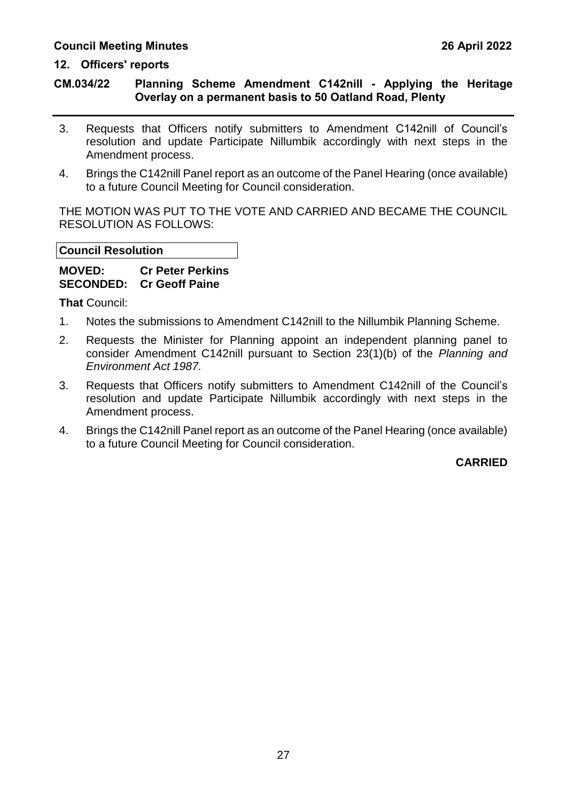#### **12. Officers' reports**

### **CM.034/22 Planning Scheme Amendment C142nill - Applying the Heritage Overlay on a permanent basis to 50 Oatland Road, Plenty**

- 3. Requests that Officers notify submitters to Amendment C142nill of Council's resolution and update Participate Nillumbik accordingly with next steps in the Amendment process.
- 4. Brings the C142nill Panel report as an outcome of the Panel Hearing (once available) to a future Council Meeting for Council consideration.

THE MOTION WAS PUT TO THE VOTE AND CARRIED AND BECAME THE COUNCIL RESOLUTION AS FOLLOWS:

#### **Council Resolution**

### **MOVED: Cr Peter Perkins SECONDED: Cr Geoff Paine**

**That** Council:

- 1. Notes the submissions to Amendment C142nill to the Nillumbik Planning Scheme.
- 2. Requests the Minister for Planning appoint an independent planning panel to consider Amendment C142nill pursuant to Section 23(1)(b) of the *Planning and Environment Act 1987.*
- 3. Requests that Officers notify submitters to Amendment C142nill of the Council's resolution and update Participate Nillumbik accordingly with next steps in the Amendment process.
- 4. Brings the C142nill Panel report as an outcome of the Panel Hearing (once available) to a future Council Meeting for Council consideration.

### **CARRIED**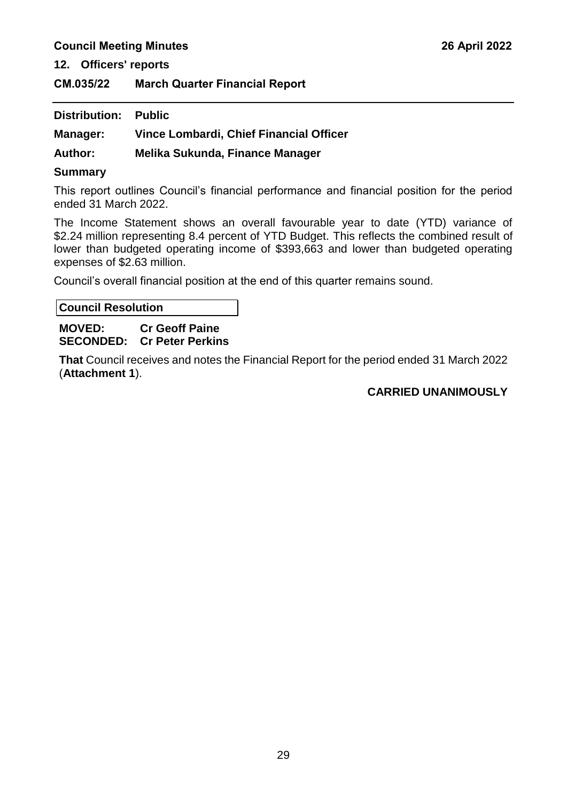**12. Officers' reports**

<span id="page-29-0"></span>**CM.035/22 March Quarter Financial Report**

| <b>Distribution: Public</b> |                                         |
|-----------------------------|-----------------------------------------|
| Manager:                    | Vince Lombardi, Chief Financial Officer |
| <b>Author:</b>              | Melika Sukunda, Finance Manager         |

#### **Summary**

This report outlines Council's financial performance and financial position for the period ended 31 March 2022.

The Income Statement shows an overall favourable year to date (YTD) variance of \$2.24 million representing 8.4 percent of YTD Budget. This reflects the combined result of lower than budgeted operating income of \$393,663 and lower than budgeted operating expenses of \$2.63 million.

Council's overall financial position at the end of this quarter remains sound.

**Council Resolution**

#### **MOVED: Cr Geoff Paine SECONDED: Cr Peter Perkins**

**That** Council receives and notes the Financial Report for the period ended 31 March 2022 (**Attachment 1**).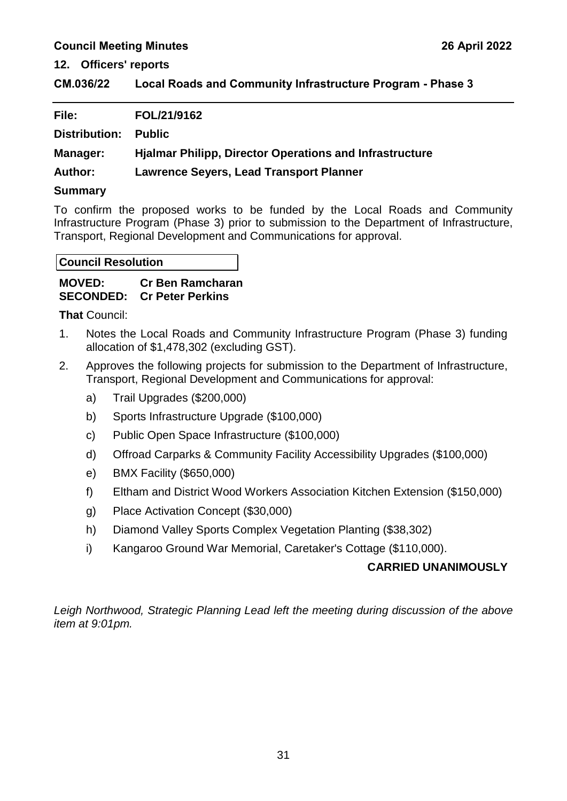**12. Officers' reports**

<span id="page-31-0"></span>**CM.036/22 Local Roads and Community Infrastructure Program - Phase 3**

| File:          | FOL/21/9162                                                    |
|----------------|----------------------------------------------------------------|
| Distribution:  | <b>Public</b>                                                  |
| Manager:       | <b>Hialmar Philipp, Director Operations and Infrastructure</b> |
| <b>Author:</b> | <b>Lawrence Seyers, Lead Transport Planner</b>                 |
| Summary        |                                                                |

### **Summary**

To confirm the proposed works to be funded by the Local Roads and Community Infrastructure Program (Phase 3) prior to submission to the Department of Infrastructure, Transport, Regional Development and Communications for approval.

**Council Resolution**

| <b>MOVED:</b> | <b>Cr Ben Ramcharan</b>           |
|---------------|-----------------------------------|
|               | <b>SECONDED: Cr Peter Perkins</b> |

**That** Council:

- 1. Notes the Local Roads and Community Infrastructure Program (Phase 3) funding allocation of \$1,478,302 (excluding GST).
- 2. Approves the following projects for submission to the Department of Infrastructure, Transport, Regional Development and Communications for approval:
	- a) Trail Upgrades (\$200,000)
	- b) Sports Infrastructure Upgrade (\$100,000)
	- c) Public Open Space Infrastructure (\$100,000)
	- d) Offroad Carparks & Community Facility Accessibility Upgrades (\$100,000)
	- e) BMX Facility (\$650,000)
	- f) Eltham and District Wood Workers Association Kitchen Extension (\$150,000)
	- g) Place Activation Concept (\$30,000)
	- h) Diamond Valley Sports Complex Vegetation Planting (\$38,302)
	- i) Kangaroo Ground War Memorial, Caretaker's Cottage (\$110,000).

### **CARRIED UNANIMOUSLY**

*Leigh Northwood, Strategic Planning Lead left the meeting during discussion of the above item at 9:01pm.*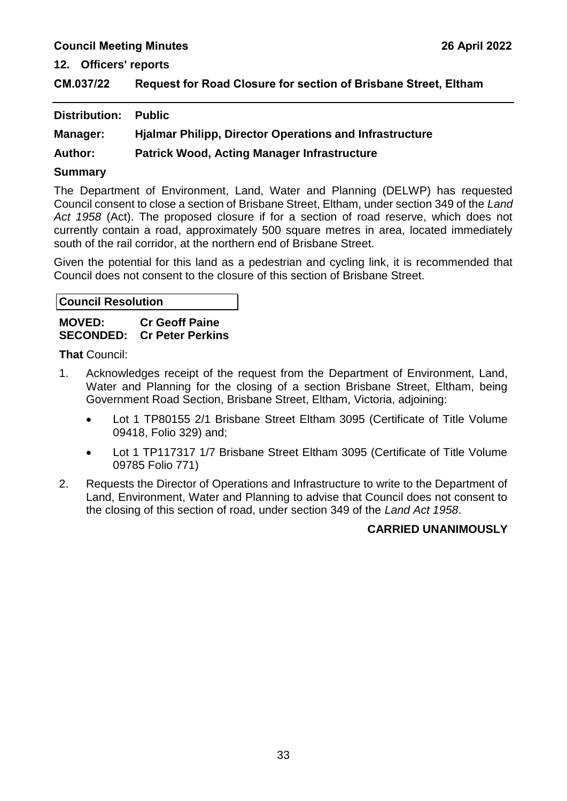**12. Officers' reports**

<span id="page-33-0"></span>

| CM.037/22 | Request for Road Closure for section of Brisbane Street, Eltham |
|-----------|-----------------------------------------------------------------|
|-----------|-----------------------------------------------------------------|

| <b>Distribution: Public</b> |                                                                |
|-----------------------------|----------------------------------------------------------------|
| Manager:                    | <b>Hjalmar Philipp, Director Operations and Infrastructure</b> |
| <b>Author:</b>              | <b>Patrick Wood, Acting Manager Infrastructure</b>             |

#### **Summary**

The Department of Environment, Land, Water and Planning (DELWP) has requested Council consent to close a section of Brisbane Street, Eltham, under section 349 of the *Land Act 1958* (Act). The proposed closure if for a section of road reserve, which does not currently contain a road, approximately 500 square metres in area, located immediately south of the rail corridor, at the northern end of Brisbane Street.

Given the potential for this land as a pedestrian and cycling link, it is recommended that Council does not consent to the closure of this section of Brisbane Street.

#### **Council Resolution**

#### **MOVED: Cr Geoff Paine SECONDED: Cr Peter Perkins**

**That** Council:

- 1. Acknowledges receipt of the request from the Department of Environment, Land, Water and Planning for the closing of a section Brisbane Street, Eltham, being Government Road Section, Brisbane Street, Eltham, Victoria, adjoining:
	- Lot 1 TP80155 2/1 Brisbane Street Eltham 3095 (Certificate of Title Volume 09418, Folio 329) and;
	- Lot 1 TP117317 1/7 Brisbane Street Eltham 3095 (Certificate of Title Volume 09785 Folio 771)
- 2. Requests the Director of Operations and Infrastructure to write to the Department of Land, Environment, Water and Planning to advise that Council does not consent to the closing of this section of road, under section 349 of the *Land Act 1958*.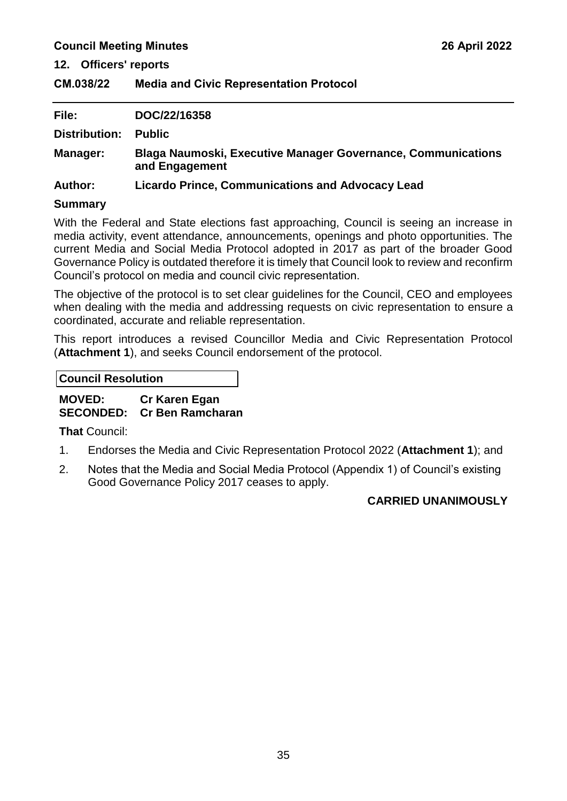**12. Officers' reports**

<span id="page-35-0"></span>**CM.038/22 Media and Civic Representation Protocol**

| File:           | DOC/22/16358                                                                          |
|-----------------|---------------------------------------------------------------------------------------|
| Distribution:   | <b>Public</b>                                                                         |
| <b>Manager:</b> | <b>Blaga Naumoski, Executive Manager Governance, Communications</b><br>and Engagement |
| <b>Author:</b>  | <b>Licardo Prince, Communications and Advocacy Lead</b>                               |

### **Summary**

With the Federal and State elections fast approaching, Council is seeing an increase in media activity, event attendance, announcements, openings and photo opportunities. The current Media and Social Media Protocol adopted in 2017 as part of the broader Good Governance Policy is outdated therefore it is timely that Council look to review and reconfirm Council's protocol on media and council civic representation.

The objective of the protocol is to set clear guidelines for the Council, CEO and employees when dealing with the media and addressing requests on civic representation to ensure a coordinated, accurate and reliable representation.

This report introduces a revised Councillor Media and Civic Representation Protocol (**Attachment 1**), and seeks Council endorsement of the protocol.

**Council Resolution**

**MOVED: Cr Karen Egan SECONDED: Cr Ben Ramcharan** 

**That** Council:

- 1. Endorses the Media and Civic Representation Protocol 2022 (**Attachment 1**); and
- 2. Notes that the Media and Social Media Protocol (Appendix 1) of Council's existing Good Governance Policy 2017 ceases to apply.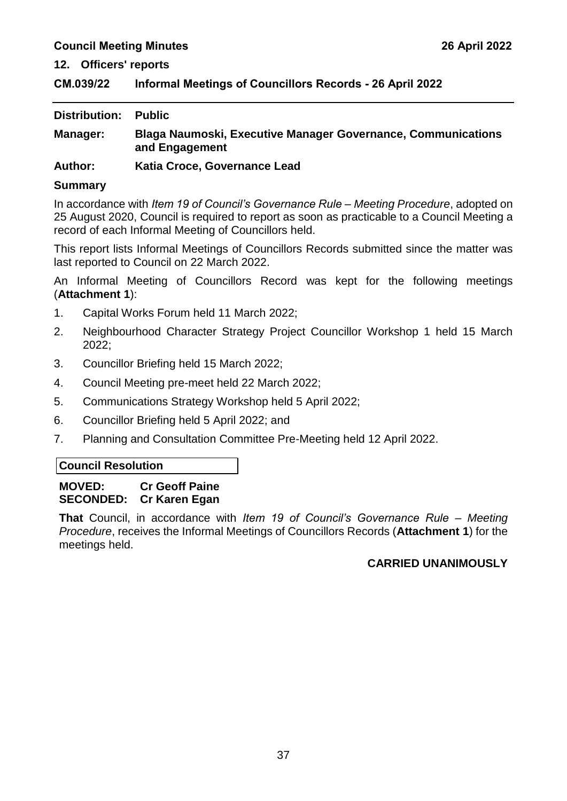### <span id="page-37-0"></span>**CM.039/22 Informal Meetings of Councillors Records - 26 April 2022**

| Distribution: | <b>Public</b>                                                                         |
|---------------|---------------------------------------------------------------------------------------|
| Manager:      | <b>Blaga Naumoski, Executive Manager Governance, Communications</b><br>and Engagement |

**Author: Katia Croce, Governance Lead**

### **Summary**

In accordance with *Item 19 of Council's Governance Rule – Meeting Procedure*, adopted on 25 August 2020, Council is required to report as soon as practicable to a Council Meeting a record of each Informal Meeting of Councillors held.

This report lists Informal Meetings of Councillors Records submitted since the matter was last reported to Council on 22 March 2022.

An Informal Meeting of Councillors Record was kept for the following meetings (**Attachment 1**):

- 1. Capital Works Forum held 11 March 2022;
- 2. Neighbourhood Character Strategy Project Councillor Workshop 1 held 15 March 2022;
- 3. Councillor Briefing held 15 March 2022;
- 4. Council Meeting pre-meet held 22 March 2022;
- 5. Communications Strategy Workshop held 5 April 2022;
- 6. Councillor Briefing held 5 April 2022; and
- 7. Planning and Consultation Committee Pre-Meeting held 12 April 2022.

### **Council Resolution**

### **MOVED: Cr Geoff Paine SECONDED: Cr Karen Egan**

**That** Council, in accordance with *Item 19 of Council's Governance Rule – Meeting Procedure*, receives the Informal Meetings of Councillors Records (**Attachment 1**) for the meetings held.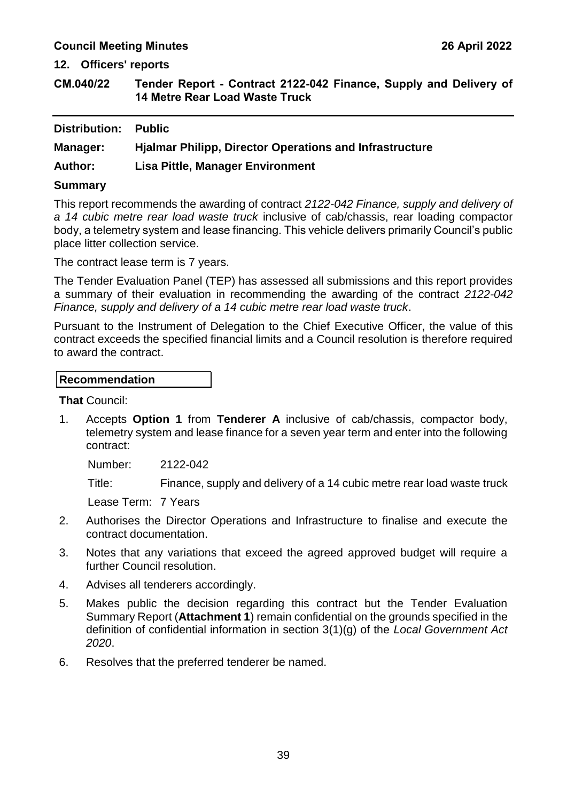**12. Officers' reports**

<span id="page-39-0"></span>**CM.040/22 Tender Report - Contract 2122-042 Finance, Supply and Delivery of 14 Metre Rear Load Waste Truck**

| <b>Distribution:</b> | <b>Public</b>                                                  |
|----------------------|----------------------------------------------------------------|
| <b>Manager:</b>      | <b>Hialmar Philipp, Director Operations and Infrastructure</b> |
| <b>Author:</b>       | <b>Lisa Pittle, Manager Environment</b>                        |
|                      |                                                                |

#### **Summary**

This report recommends the awarding of contract *2122-042 Finance, supply and delivery of a 14 cubic metre rear load waste truck* inclusive of cab/chassis, rear loading compactor body, a telemetry system and lease financing. This vehicle delivers primarily Council's public place litter collection service.

The contract lease term is 7 years.

The Tender Evaluation Panel (TEP) has assessed all submissions and this report provides a summary of their evaluation in recommending the awarding of the contract *2122-042 Finance, supply and delivery of a 14 cubic metre rear load waste truck*.

Pursuant to the Instrument of Delegation to the Chief Executive Officer, the value of this contract exceeds the specified financial limits and a Council resolution is therefore required to award the contract.

#### **Recommendation**

**That** Council:

1. Accepts **Option 1** from **Tenderer A** inclusive of cab/chassis, compactor body, telemetry system and lease finance for a seven year term and enter into the following contract:

Number: 2122-042

Title: Finance, supply and delivery of a 14 cubic metre rear load waste truck

Lease Term: 7 Years

- 2. Authorises the Director Operations and Infrastructure to finalise and execute the contract documentation.
- 3. Notes that any variations that exceed the agreed approved budget will require a further Council resolution.
- 4. Advises all tenderers accordingly.
- 5. Makes public the decision regarding this contract but the Tender Evaluation Summary Report (**Attachment 1**) remain confidential on the grounds specified in the definition of confidential information in section 3(1)(g) of the *Local Government Act 2020*.
- 6. Resolves that the preferred tenderer be named.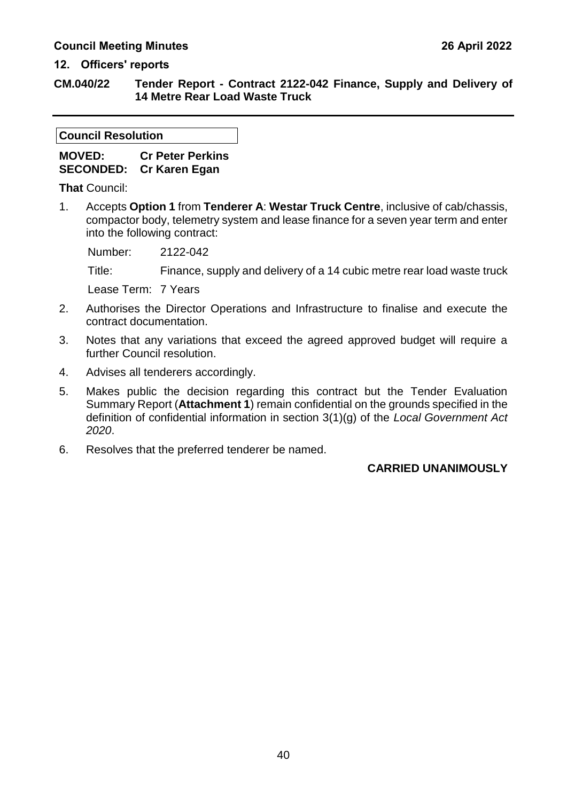#### **12. Officers' reports**

**CM.040/22 Tender Report - Contract 2122-042 Finance, Supply and Delivery of 14 Metre Rear Load Waste Truck**

### **Council Resolution**

**MOVED: Cr Peter Perkins SECONDED: Cr Karen Egan** 

**That** Council:

1. Accepts **Option 1** from **Tenderer A**: **Westar Truck Centre**, inclusive of cab/chassis, compactor body, telemetry system and lease finance for a seven year term and enter into the following contract:

Number: 2122-042

Title: Finance, supply and delivery of a 14 cubic metre rear load waste truck

Lease Term: 7 Years

- 2. Authorises the Director Operations and Infrastructure to finalise and execute the contract documentation.
- 3. Notes that any variations that exceed the agreed approved budget will require a further Council resolution.
- 4. Advises all tenderers accordingly.
- 5. Makes public the decision regarding this contract but the Tender Evaluation Summary Report (**Attachment 1**) remain confidential on the grounds specified in the definition of confidential information in section 3(1)(g) of the *Local Government Act 2020*.
- 6. Resolves that the preferred tenderer be named.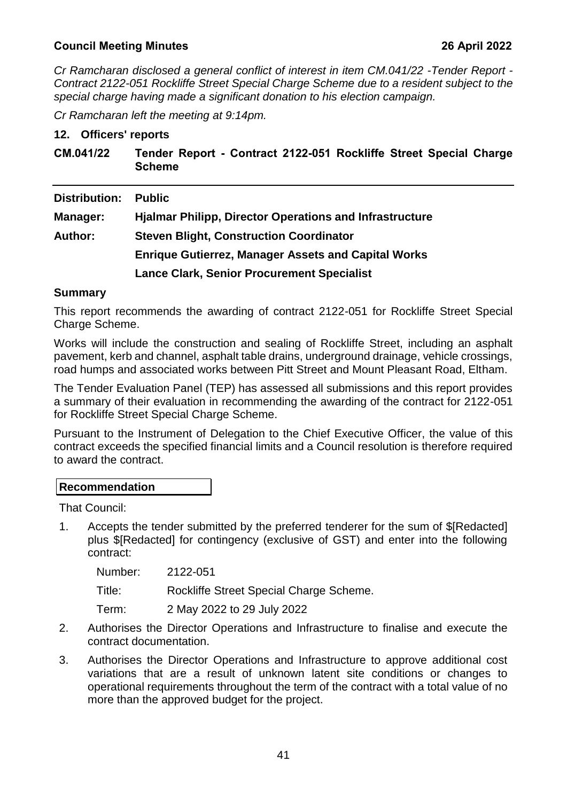*Cr Ramcharan disclosed a general conflict of interest in item CM.041/22 -Tender Report - Contract 2122-051 Rockliffe Street Special Charge Scheme due to a resident subject to the special charge having made a significant donation to his election campaign.*

*Cr Ramcharan left the meeting at 9:14pm.*

#### **12. Officers' reports**

<span id="page-41-0"></span>

| CM.041/22      | Tender Report - Contract 2122-051 Rockliffe Street Special Charge<br><b>Scheme</b> |  |
|----------------|------------------------------------------------------------------------------------|--|
| Distribution:  | <b>Public</b>                                                                      |  |
| Manager:       | <b>Hjalmar Philipp, Director Operations and Infrastructure</b>                     |  |
| <b>Author:</b> | <b>Steven Blight, Construction Coordinator</b>                                     |  |
|                | <b>Enrique Gutierrez, Manager Assets and Capital Works</b>                         |  |
|                | <b>Lance Clark, Senior Procurement Specialist</b>                                  |  |

### **Summary**

This report recommends the awarding of contract 2122-051 for Rockliffe Street Special Charge Scheme.

Works will include the construction and sealing of Rockliffe Street, including an asphalt pavement, kerb and channel, asphalt table drains, underground drainage, vehicle crossings, road humps and associated works between Pitt Street and Mount Pleasant Road, Eltham.

The Tender Evaluation Panel (TEP) has assessed all submissions and this report provides a summary of their evaluation in recommending the awarding of the contract for 2122-051 for Rockliffe Street Special Charge Scheme.

Pursuant to the Instrument of Delegation to the Chief Executive Officer, the value of this contract exceeds the specified financial limits and a Council resolution is therefore required to award the contract.

### **Recommendation**

That Council:

1. Accepts the tender submitted by the preferred tenderer for the sum of \$[Redacted] plus \$[Redacted] for contingency (exclusive of GST) and enter into the following contract:

Number: 2122-051

Title: Rockliffe Street Special Charge Scheme.

Term: 2 May 2022 to 29 July 2022

- 2. Authorises the Director Operations and Infrastructure to finalise and execute the contract documentation.
- 3. Authorises the Director Operations and Infrastructure to approve additional cost variations that are a result of unknown latent site conditions or changes to operational requirements throughout the term of the contract with a total value of no more than the approved budget for the project.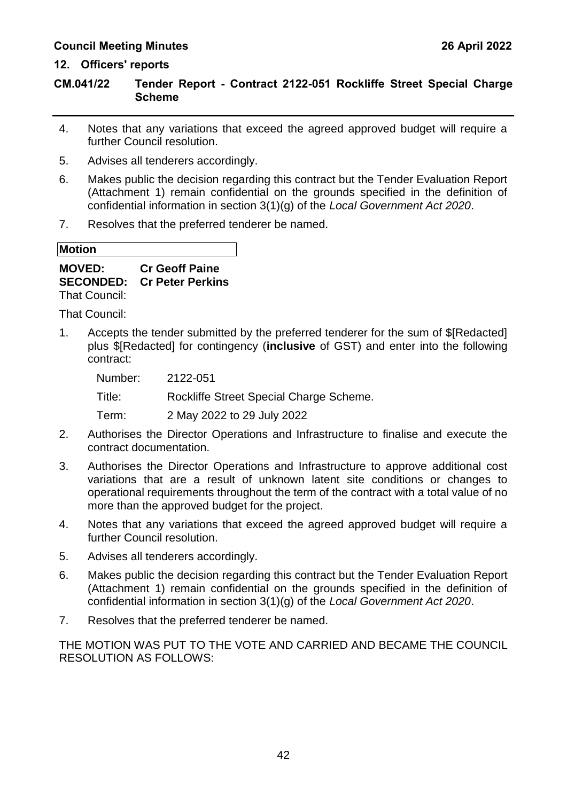### **12. Officers' reports**

### **CM.041/22 Tender Report - Contract 2122-051 Rockliffe Street Special Charge Scheme**

- 4. Notes that any variations that exceed the agreed approved budget will require a further Council resolution.
- 5. Advises all tenderers accordingly.
- 6. Makes public the decision regarding this contract but the Tender Evaluation Report (Attachment 1) remain confidential on the grounds specified in the definition of confidential information in section 3(1)(g) of the *Local Government Act 2020*.
- 7. Resolves that the preferred tenderer be named.

**Motion**

**MOVED: Cr Geoff Paine SECONDED: Cr Peter Perkins** That Council:

That Council:

1. Accepts the tender submitted by the preferred tenderer for the sum of \$[Redacted] plus \$[Redacted] for contingency (**inclusive** of GST) and enter into the following contract:

Number: 2122-051

Title: Rockliffe Street Special Charge Scheme.

Term: 2 May 2022 to 29 July 2022

- 2. Authorises the Director Operations and Infrastructure to finalise and execute the contract documentation.
- 3. Authorises the Director Operations and Infrastructure to approve additional cost variations that are a result of unknown latent site conditions or changes to operational requirements throughout the term of the contract with a total value of no more than the approved budget for the project.
- 4. Notes that any variations that exceed the agreed approved budget will require a further Council resolution.
- 5. Advises all tenderers accordingly.
- 6. Makes public the decision regarding this contract but the Tender Evaluation Report (Attachment 1) remain confidential on the grounds specified in the definition of confidential information in section 3(1)(g) of the *Local Government Act 2020*.
- 7. Resolves that the preferred tenderer be named.

THE MOTION WAS PUT TO THE VOTE AND CARRIED AND BECAME THE COUNCIL RESOLUTION AS FOLLOWS: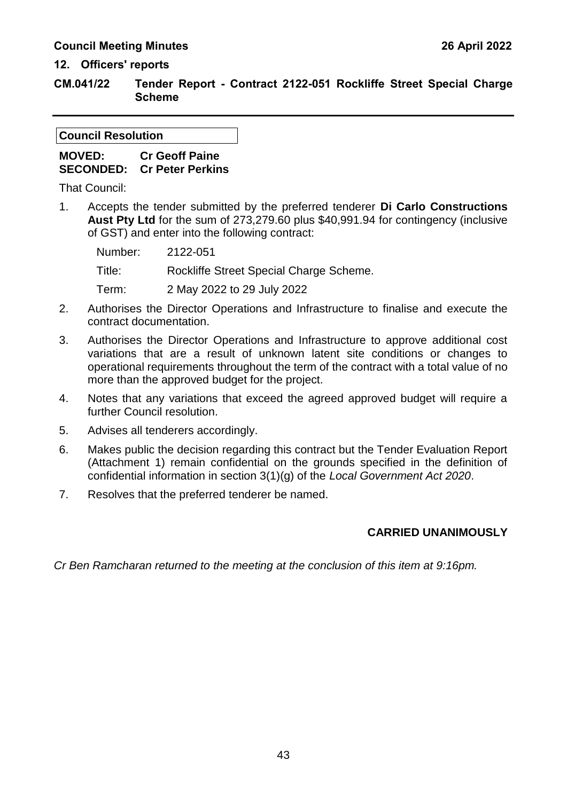#### **12. Officers' reports**

**CM.041/22 Tender Report - Contract 2122-051 Rockliffe Street Special Charge Scheme**

#### **Council Resolution**

### **MOVED: Cr Geoff Paine SECONDED: Cr Peter Perkins**

That Council:

1. Accepts the tender submitted by the preferred tenderer **Di Carlo Constructions Aust Pty Ltd** for the sum of 273,279.60 plus \$40,991.94 for contingency (inclusive of GST) and enter into the following contract:

Number: 2122-051 Title: Rockliffe Street Special Charge Scheme. Term: 2 May 2022 to 29 July 2022

- 2. Authorises the Director Operations and Infrastructure to finalise and execute the contract documentation.
- 3. Authorises the Director Operations and Infrastructure to approve additional cost variations that are a result of unknown latent site conditions or changes to operational requirements throughout the term of the contract with a total value of no more than the approved budget for the project.
- 4. Notes that any variations that exceed the agreed approved budget will require a further Council resolution.
- 5. Advises all tenderers accordingly.
- 6. Makes public the decision regarding this contract but the Tender Evaluation Report (Attachment 1) remain confidential on the grounds specified in the definition of confidential information in section 3(1)(g) of the *Local Government Act 2020*.
- 7. Resolves that the preferred tenderer be named.

### **CARRIED UNANIMOUSLY**

*Cr Ben Ramcharan returned to the meeting at the conclusion of this item at 9:16pm.*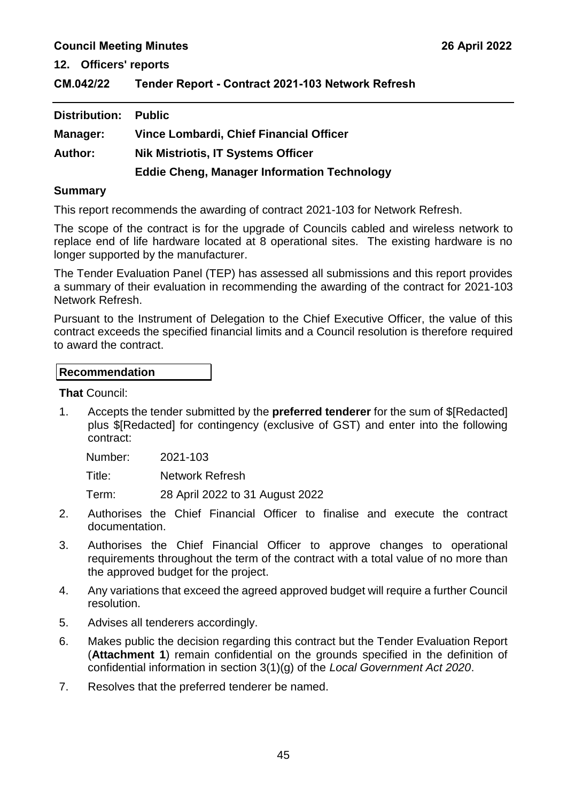**12. Officers' reports**

<span id="page-45-0"></span>**CM.042/22 Tender Report - Contract 2021-103 Network Refresh**

| Distribution:  | <b>Public</b>                                      |
|----------------|----------------------------------------------------|
| Manager:       | Vince Lombardi, Chief Financial Officer            |
| <b>Author:</b> | <b>Nik Mistriotis, IT Systems Officer</b>          |
|                | <b>Eddie Cheng, Manager Information Technology</b> |

#### **Summary**

This report recommends the awarding of contract 2021-103 for Network Refresh.

The scope of the contract is for the upgrade of Councils cabled and wireless network to replace end of life hardware located at 8 operational sites. The existing hardware is no longer supported by the manufacturer.

The Tender Evaluation Panel (TEP) has assessed all submissions and this report provides a summary of their evaluation in recommending the awarding of the contract for 2021-103 Network Refresh.

Pursuant to the Instrument of Delegation to the Chief Executive Officer, the value of this contract exceeds the specified financial limits and a Council resolution is therefore required to award the contract.

#### **Recommendation**

**That** Council:

1. Accepts the tender submitted by the **preferred tenderer** for the sum of \$[Redacted] plus \$[Redacted] for contingency (exclusive of GST) and enter into the following contract:

Number: 2021-103

Title: Network Refresh

Term: 28 April 2022 to 31 August 2022

- 2. Authorises the Chief Financial Officer to finalise and execute the contract documentation.
- 3. Authorises the Chief Financial Officer to approve changes to operational requirements throughout the term of the contract with a total value of no more than the approved budget for the project.
- 4. Any variations that exceed the agreed approved budget will require a further Council resolution.
- 5. Advises all tenderers accordingly.
- 6. Makes public the decision regarding this contract but the Tender Evaluation Report (**Attachment 1**) remain confidential on the grounds specified in the definition of confidential information in section 3(1)(g) of the *Local Government Act 2020*.
- 7. Resolves that the preferred tenderer be named.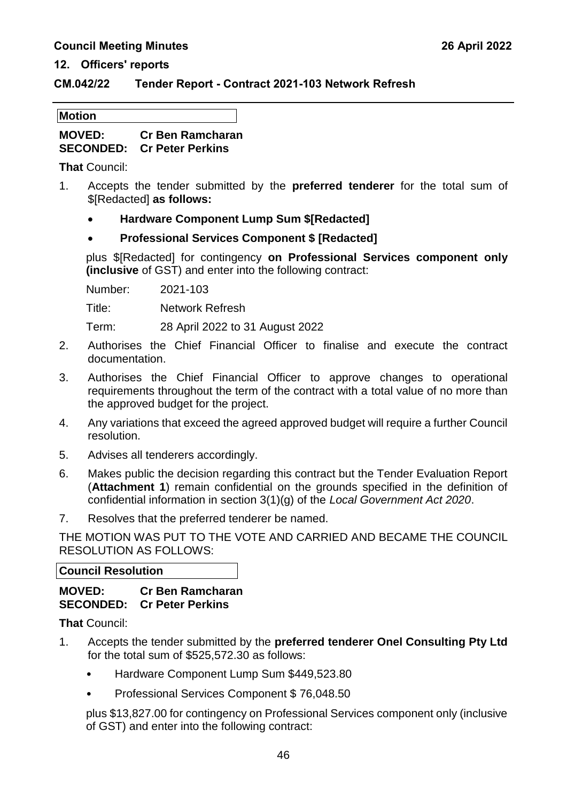#### **12. Officers' reports**

#### **CM.042/22 Tender Report - Contract 2021-103 Network Refresh**

| <b>Motion</b> |
|---------------|
|---------------|

**MOVED: Cr Ben Ramcharan SECONDED: Cr Peter Perkins**

**That** Council:

- 1. Accepts the tender submitted by the **preferred tenderer** for the total sum of \$[Redacted] **as follows:**
	- **Hardware Component Lump Sum \$[Redacted]**

### **Professional Services Component \$ [Redacted]**

plus \$[Redacted] for contingency **on Professional Services component only (inclusive** of GST) and enter into the following contract:

Number: 2021-103

Title: Network Refresh

Term: 28 April 2022 to 31 August 2022

- 2. Authorises the Chief Financial Officer to finalise and execute the contract documentation.
- 3. Authorises the Chief Financial Officer to approve changes to operational requirements throughout the term of the contract with a total value of no more than the approved budget for the project.
- 4. Any variations that exceed the agreed approved budget will require a further Council resolution.
- 5. Advises all tenderers accordingly.
- 6. Makes public the decision regarding this contract but the Tender Evaluation Report (**Attachment 1**) remain confidential on the grounds specified in the definition of confidential information in section 3(1)(g) of the *Local Government Act 2020*.
- 7. Resolves that the preferred tenderer be named.

THE MOTION WAS PUT TO THE VOTE AND CARRIED AND BECAME THE COUNCIL RESOLUTION AS FOLLOWS:

#### **Council Resolution**

### **MOVED: Cr Ben Ramcharan SECONDED: Cr Peter Perkins**

**That** Council:

- 1. Accepts the tender submitted by the **preferred tenderer Onel Consulting Pty Ltd** for the total sum of \$525,572.30 as follows:
	- Hardware Component Lump Sum \$449,523.80
	- Professional Services Component \$ 76,048.50

plus \$13,827.00 for contingency on Professional Services component only (inclusive of GST) and enter into the following contract: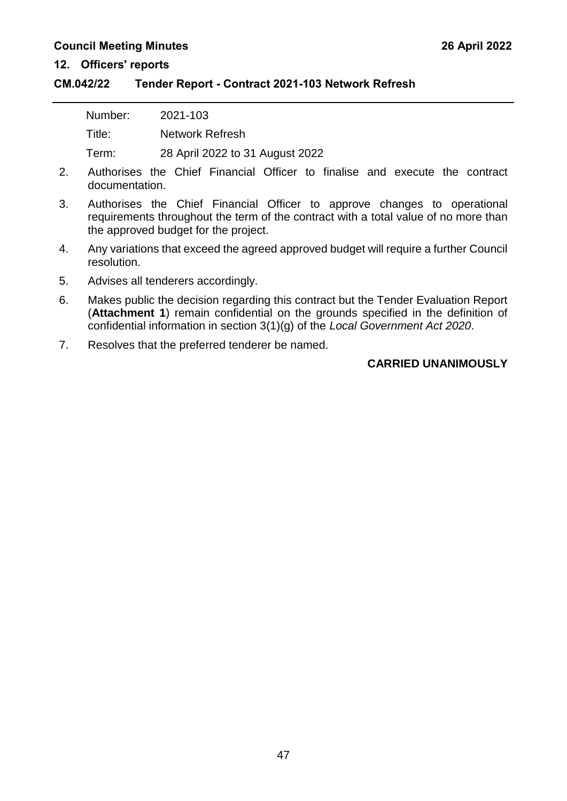#### **12. Officers' reports**

#### **CM.042/22 Tender Report - Contract 2021-103 Network Refresh**

| Number: | 2021-103                        |
|---------|---------------------------------|
| Title:  | Network Refresh                 |
| Term:   | 28 April 2022 to 31 August 2022 |

- 2. Authorises the Chief Financial Officer to finalise and execute the contract documentation.
- 3. Authorises the Chief Financial Officer to approve changes to operational requirements throughout the term of the contract with a total value of no more than the approved budget for the project.
- 4. Any variations that exceed the agreed approved budget will require a further Council resolution.
- 5. Advises all tenderers accordingly.
- 6. Makes public the decision regarding this contract but the Tender Evaluation Report (**Attachment 1**) remain confidential on the grounds specified in the definition of confidential information in section 3(1)(g) of the *Local Government Act 2020*.
- 7. Resolves that the preferred tenderer be named.